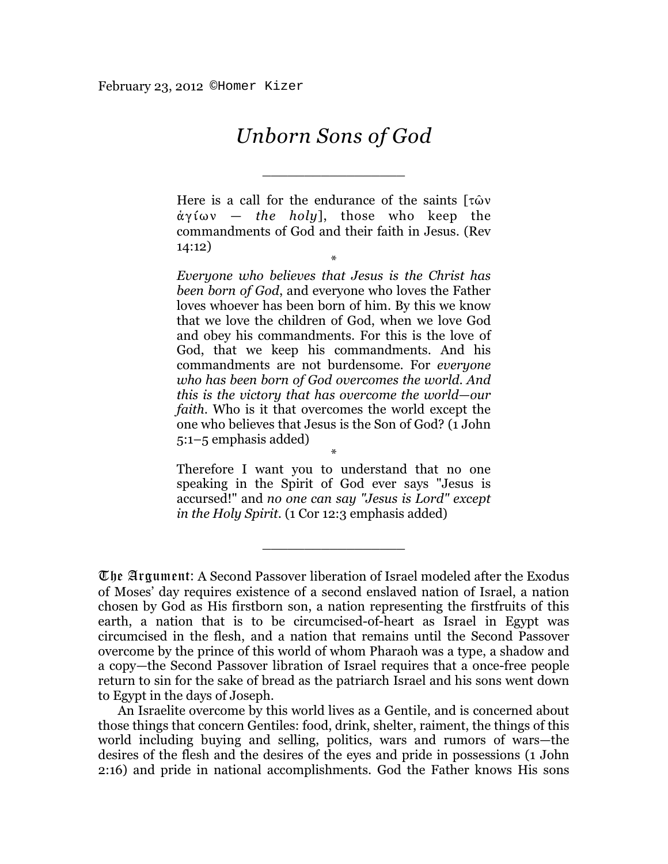## *Unborn Sons of God*

 $\overline{\phantom{a}}$  , and the set of the set of the set of the set of the set of the set of the set of the set of the set of the set of the set of the set of the set of the set of the set of the set of the set of the set of the s

Here is a call for the endurance of the saints  $\lceil \tau \hat{\omega} v \rceil$  $\dot{\alpha}$   $\gamma$ *i* $\omega$   $\upsilon$   $-$  *the holy*], those who keep the commandments of God and their faith in Jesus. (Rev 14:12) \*

*Everyone who believes that Jesus is the Christ has been born of God*, and everyone who loves the Father loves whoever has been born of him. By this we know that we love the children of God, when we love God and obey his commandments. For this is the love of God, that we keep his commandments. And his commandments are not burdensome. For *everyone who has been born of God overcomes the world*. *And this is the victory that has overcome the world—our faith*. Who is it that overcomes the world except the one who believes that Jesus is the Son of God? (1 John 5:1–5 emphasis added)

Therefore I want you to understand that no one speaking in the Spirit of God ever says "Jesus is accursed!" and *no one can say "Jesus is Lord" except in the Holy Spirit*. (1 Cor 12:3 emphasis added)

 $\overline{\phantom{a}}$  , and the set of the set of the set of the set of the set of the set of the set of the set of the set of the set of the set of the set of the set of the set of the set of the set of the set of the set of the s

\*

The Argument: A Second Passover liberation of Israel modeled after the Exodus of Moses' day requires existence of a second enslaved nation of Israel, a nation chosen by God as His firstborn son, a nation representing the firstfruits of this earth, a nation that is to be circumcised-of-heart as Israel in Egypt was circumcised in the flesh, and a nation that remains until the Second Passover overcome by the prince of this world of whom Pharaoh was a type, a shadow and a copy—the Second Passover libration of Israel requires that a once-free people return to sin for the sake of bread as the patriarch Israel and his sons went down to Egypt in the days of Joseph.

An Israelite overcome by this world lives as a Gentile, and is concerned about those things that concern Gentiles: food, drink, shelter, raiment, the things of this world including buying and selling, politics, wars and rumors of wars—the desires of the flesh and the desires of the eyes and pride in possessions (1 John 2:16) and pride in national accomplishments. God the Father knows His sons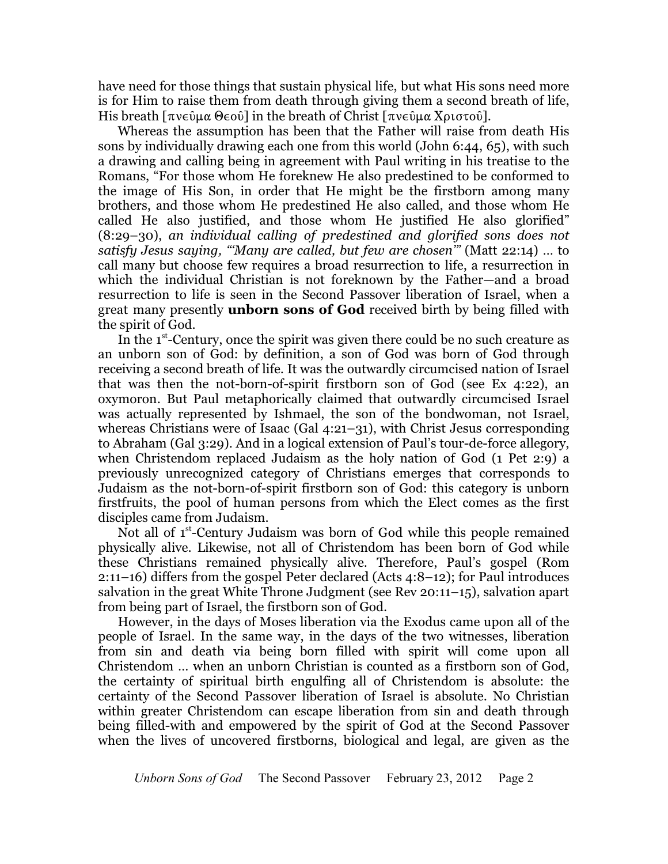have need for those things that sustain physical life, but what His sons need more is for Him to raise them from death through giving them a second breath of life, His breath  $\lceil \pi v \in \hat{\mathfrak{g}} \mu \alpha \otimes \infty$  in the breath of Christ  $\lceil \pi v \in \hat{\mathfrak{g}} \mu \alpha X \rho v \sigma v \circ \hat{\mathfrak{g}} \rceil$ .

Whereas the assumption has been that the Father will raise from death His sons by individually drawing each one from this world (John 6:44, 65), with such a drawing and calling being in agreement with Paul writing in his treatise to the Romans, "For those whom He foreknew He also predestined to be conformed to the image of His Son, in order that He might be the firstborn among many brothers, and those whom He predestined He also called, and those whom He called He also justified, and those whom He justified He also glorified" (8:29–30), *an individual calling of predestined and glorified sons does not satisfy Jesus saying, "'Many are called, but few are chosen'"* (Matt 22:14) … to call many but choose few requires a broad resurrection to life, a resurrection in which the individual Christian is not foreknown by the Father—and a broad resurrection to life is seen in the Second Passover liberation of Israel, when a great many presently **unborn sons of God** received birth by being filled with the spirit of God.

In the  $1<sup>st</sup>$ -Century, once the spirit was given there could be no such creature as an unborn son of God: by definition, a son of God was born of God through receiving a second breath of life. It was the outwardly circumcised nation of Israel that was then the not-born-of-spirit firstborn son of God (see Ex 4:22), an oxymoron. But Paul metaphorically claimed that outwardly circumcised Israel was actually represented by Ishmael, the son of the bondwoman, not Israel, whereas Christians were of Isaac (Gal 4:21–31), with Christ Jesus corresponding to Abraham (Gal 3:29). And in a logical extension of Paul's tour-de-force allegory, when Christendom replaced Judaism as the holy nation of God (1 Pet 2:9) a previously unrecognized category of Christians emerges that corresponds to Judaism as the not-born-of-spirit firstborn son of God: this category is unborn firstfruits, the pool of human persons from which the Elect comes as the first disciples came from Judaism.

Not all of  $1<sup>st</sup>$ -Century Judaism was born of God while this people remained physically alive. Likewise, not all of Christendom has been born of God while these Christians remained physically alive. Therefore, Paul's gospel (Rom 2:11–16) differs from the gospel Peter declared (Acts 4:8–12); for Paul introduces salvation in the great White Throne Judgment (see Rev 20:11–15), salvation apart from being part of Israel, the firstborn son of God.

However, in the days of Moses liberation via the Exodus came upon all of the people of Israel. In the same way, in the days of the two witnesses, liberation from sin and death via being born filled with spirit will come upon all Christendom … when an unborn Christian is counted as a firstborn son of God, the certainty of spiritual birth engulfing all of Christendom is absolute: the certainty of the Second Passover liberation of Israel is absolute. No Christian within greater Christendom can escape liberation from sin and death through being filled-with and empowered by the spirit of God at the Second Passover when the lives of uncovered firstborns, biological and legal, are given as the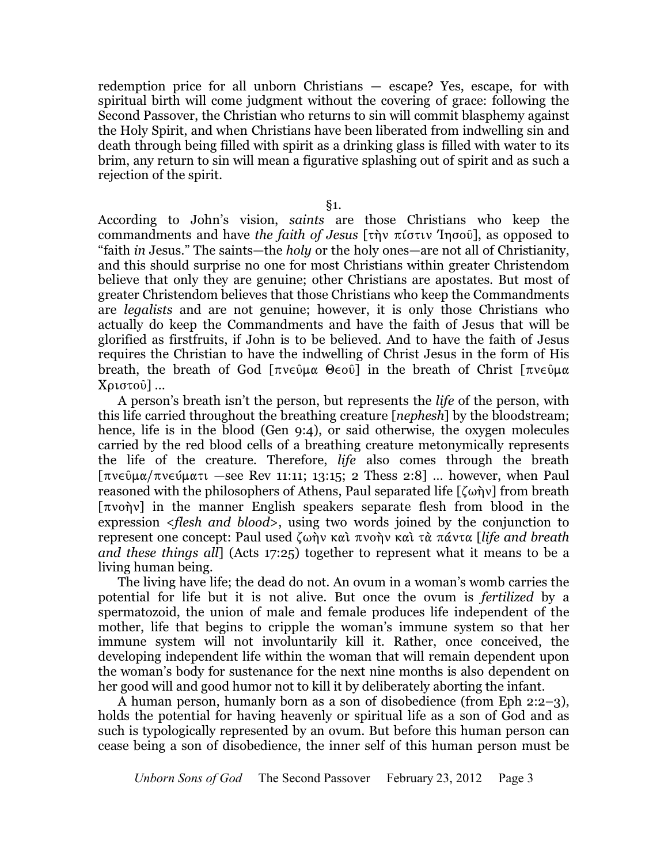redemption price for all unborn Christians — escape? Yes, escape, for with spiritual birth will come judgment without the covering of grace: following the Second Passover, the Christian who returns to sin will commit blasphemy against the Holy Spirit, and when Christians have been liberated from indwelling sin and death through being filled with spirit as a drinking glass is filled with water to its brim, any return to sin will mean a figurative splashing out of spirit and as such a rejection of the spirit.

According to John's vision, *saints* are those Christians who keep the commandments and have *the faith of Jesus*  $[\tau \hat{n}v \pi \hat{\sigma} \tau \hat{\sigma} \hat{\sigma} \hat{\sigma} \hat{\sigma} \hat{\sigma}]$ , as opposed to "faith *in* Jesus." The saints—the *holy* or the holy ones—are not all of Christianity, and this should surprise no one for most Christians within greater Christendom believe that only they are genuine; other Christians are apostates. But most of greater Christendom believes that those Christians who keep the Commandments are *legalists* and are not genuine; however, it is only those Christians who actually do keep the Commandments and have the faith of Jesus that will be glorified as firstfruits, if John is to be believed. And to have the faith of Jesus requires the Christian to have the indwelling of Christ Jesus in the form of His breath, the breath of God  $[\pi v \in \mathfrak{g} \times \mathfrak{g}]$  in the breath of Christ  $[\pi v \in \mathfrak{g} \times \mathfrak{g}]$ Χριστού] ...

A person's breath isn't the person, but represents the *life* of the person, with this life carried throughout the breathing creature [*nephesh*] by the bloodstream; hence, life is in the blood (Gen 9:4), or said otherwise, the oxygen molecules carried by the red blood cells of a breathing creature metonymically represents the life of the creature. Therefore, *life* also comes through the breath  $[\pi \nu \in \hat{\mu} \alpha / \pi \nu \in \hat{\mu} \alpha \tau$  –see Rev 11:11; 13:15; 2 Thess 2:8] … however, when Paul reasoned with the philosophers of Athens, Paul separated life  $\lceil \zeta \omega \hat{n} \nu \rceil$  from breath  $[\pi \nu \omega \gamma \nu]$  in the manner English speakers separate flesh from blood in the expression <*flesh and blood*>, using two words joined by the conjunction to represent one concept: Paul used ζωήν και πνοήν και τα πάντα [*life and breath and these things all*] (Acts 17:25) together to represent what it means to be a living human being.

The living have life; the dead do not. An ovum in a woman's womb carries the potential for life but it is not alive. But once the ovum is *fertilized* by a spermatozoid, the union of male and female produces life independent of the mother, life that begins to cripple the woman's immune system so that her immune system will not involuntarily kill it. Rather, once conceived, the developing independent life within the woman that will remain dependent upon the woman's body for sustenance for the next nine months is also dependent on her good will and good humor not to kill it by deliberately aborting the infant.

A human person, humanly born as a son of disobedience (from Eph 2:2–3), holds the potential for having heavenly or spiritual life as a son of God and as such is typologically represented by an ovum. But before this human person can cease being a son of disobedience, the inner self of this human person must be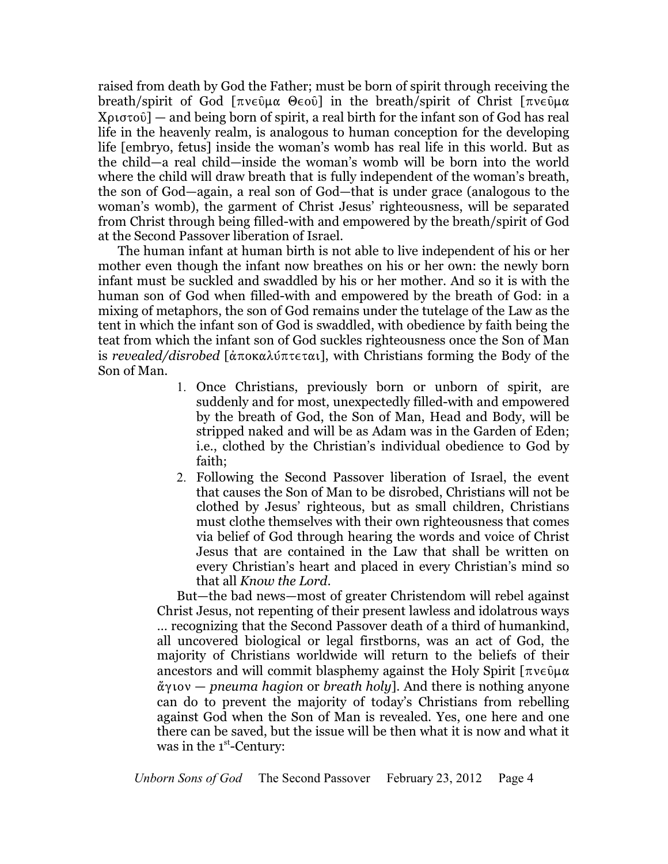raised from death by God the Father; must be born of spirit through receiving the breath/spirit of God  $[\pi v \in \hat{\theta} \times \theta \in \hat{\theta}]$  in the breath/spirit of Christ  $[\pi v \in \hat{\theta} \times \theta \times \theta \times \theta]$  $X\rho\sigma\sigma\sigma$  – and being born of spirit, a real birth for the infant son of God has real life in the heavenly realm, is analogous to human conception for the developing life [embryo, fetus] inside the woman's womb has real life in this world. But as the child—a real child—inside the woman's womb will be born into the world where the child will draw breath that is fully independent of the woman's breath, the son of God—again, a real son of God—that is under grace (analogous to the woman's womb), the garment of Christ Jesus' righteousness, will be separated from Christ through being filled-with and empowered by the breath/spirit of God at the Second Passover liberation of Israel.

The human infant at human birth is not able to live independent of his or her mother even though the infant now breathes on his or her own: the newly born infant must be suckled and swaddled by his or her mother. And so it is with the human son of God when filled-with and empowered by the breath of God: in a mixing of metaphors, the son of God remains under the tutelage of the Law as the tent in which the infant son of God is swaddled, with obedience by faith being the teat from which the infant son of God suckles righteousness once the Son of Man is *revealed/disrobed* [άποκαλύπτεται], with Christians forming the Body of the

> 1. Once Christians, previously born or unborn of spirit, are suddenly and for most, unexpectedly filled-with and empowered by the breath of God, the Son of Man, Head and Body, will be stripped naked and will be as Adam was in the Garden of Eden; i.e., clothed by the Christian's individual obedience to God by faith;

> 2. Following the Second Passover liberation of Israel, the event that causes the Son of Man to be disrobed, Christians will not be clothed by Jesus' righteous, but as small children, Christians must clothe themselves with their own righteousness that comes via belief of God through hearing the words and voice of Christ Jesus that are contained in the Law that shall be written on every Christian's heart and placed in every Christian's mind so that all *Know the Lord*.

But—the bad news—most of greater Christendom will rebel against Christ Jesus, not repenting of their present lawless and idolatrous ways … recognizing that the Second Passover death of a third of humankind, all uncovered biological or legal firstborns, was an act of God, the majority of Christians worldwide will return to the beliefs of their ancestors and will commit blasphemy against the Holy Spirit  $\lceil \pi v \epsilon \hat{v} \mu \alpha \rceil$ (4@< — *pneuma hagion* or *breath holy*]. And there is nothing anyone can do to prevent the majority of today's Christians from rebelling against God when the Son of Man is revealed. Yes, one here and one there can be saved, but the issue will be then what it is now and what it was in the  $1<sup>st</sup>$ -Century:

Son of Man.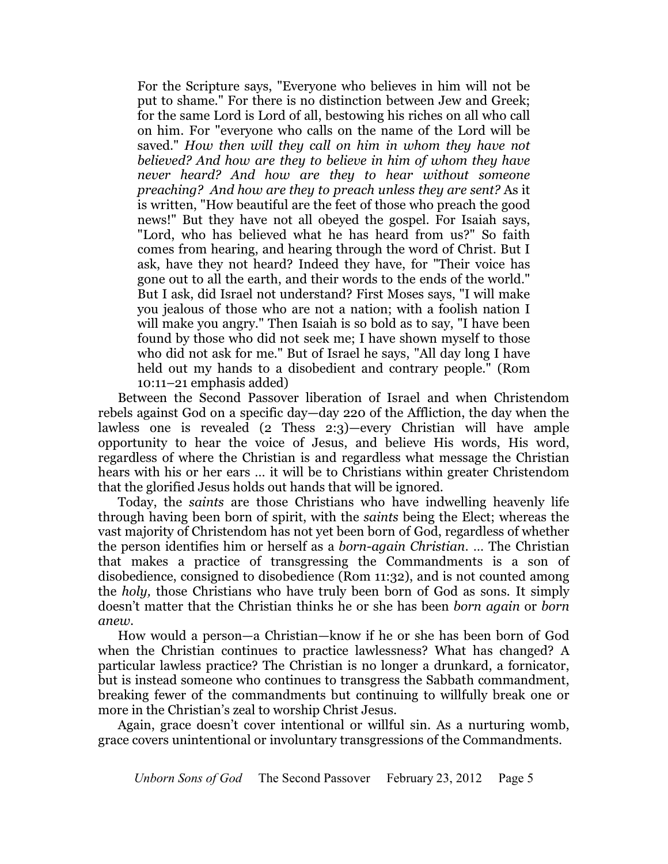For the Scripture says, "Everyone who believes in him will not be put to shame." For there is no distinction between Jew and Greek; for the same Lord is Lord of all, bestowing his riches on all who call on him. For "everyone who calls on the name of the Lord will be saved." *How then will they call on him in whom they have not believed? And how are they to believe in him of whom they have never heard? And how are they to hear without someone preaching? And how are they to preach unless they are sent?* As it is written, "How beautiful are the feet of those who preach the good news!" But they have not all obeyed the gospel. For Isaiah says, "Lord, who has believed what he has heard from us?" So faith comes from hearing, and hearing through the word of Christ. But I ask, have they not heard? Indeed they have, for "Their voice has gone out to all the earth, and their words to the ends of the world." But I ask, did Israel not understand? First Moses says, "I will make you jealous of those who are not a nation; with a foolish nation I will make you angry." Then Isaiah is so bold as to say, "I have been found by those who did not seek me; I have shown myself to those who did not ask for me." But of Israel he says, "All day long I have held out my hands to a disobedient and contrary people." (Rom 10:11–21 emphasis added)

Between the Second Passover liberation of Israel and when Christendom rebels against God on a specific day—day 220 of the Affliction, the day when the lawless one is revealed (2 Thess 2:3)—every Christian will have ample opportunity to hear the voice of Jesus, and believe His words, His word, regardless of where the Christian is and regardless what message the Christian hears with his or her ears … it will be to Christians within greater Christendom that the glorified Jesus holds out hands that will be ignored.

Today, the *saints* are those Christians who have indwelling heavenly life through having been born of spirit, with the *saints* being the Elect; whereas the vast majority of Christendom has not yet been born of God, regardless of whether the person identifies him or herself as a *born-again Christian*. … The Christian that makes a practice of transgressing the Commandments is a son of disobedience, consigned to disobedience (Rom 11:32), and is not counted among the *holy,* those Christians who have truly been born of God as sons*.* It simply doesn't matter that the Christian thinks he or she has been *born again* or *born anew*.

How would a person—a Christian—know if he or she has been born of God when the Christian continues to practice lawlessness? What has changed? A particular lawless practice? The Christian is no longer a drunkard, a fornicator, but is instead someone who continues to transgress the Sabbath commandment, breaking fewer of the commandments but continuing to willfully break one or more in the Christian's zeal to worship Christ Jesus.

Again, grace doesn't cover intentional or willful sin. As a nurturing womb, grace covers unintentional or involuntary transgressions of the Commandments.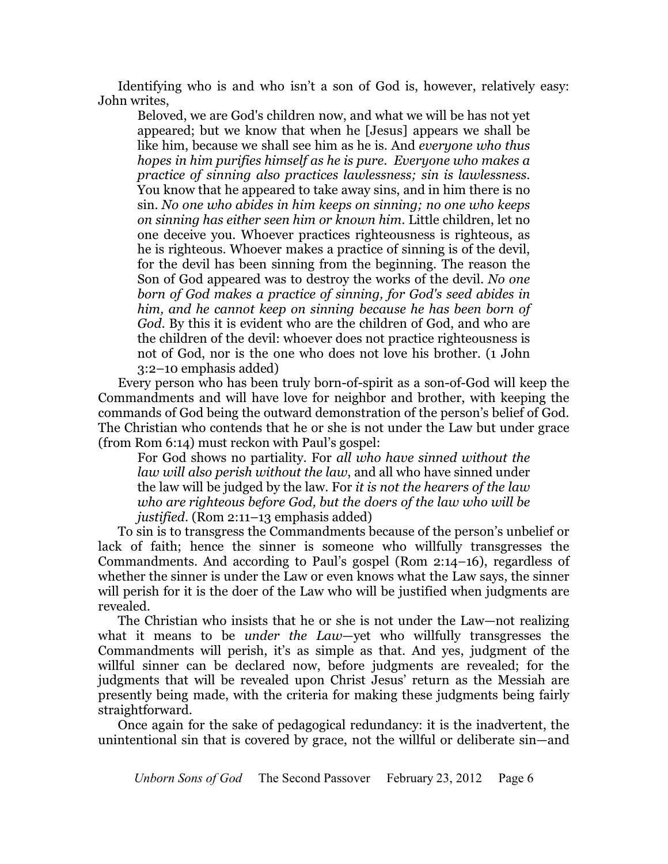Identifying who is and who isn't a son of God is, however, relatively easy: John writes,

Beloved, we are God's children now, and what we will be has not yet appeared; but we know that when he [Jesus] appears we shall be like him, because we shall see him as he is. And *everyone who thus hopes in him purifies himself as he is pure*. *Everyone who makes a practice of sinning also practices lawlessness; sin is lawlessness*. You know that he appeared to take away sins, and in him there is no sin. *No one who abides in him keeps on sinning; no one who keeps on sinning has either seen him or known him*. Little children, let no one deceive you. Whoever practices righteousness is righteous, as he is righteous. Whoever makes a practice of sinning is of the devil, for the devil has been sinning from the beginning. The reason the Son of God appeared was to destroy the works of the devil. *No one born of God makes a practice of sinning, for God's seed abides in him, and he cannot keep on sinning because he has been born of God*. By this it is evident who are the children of God, and who are the children of the devil: whoever does not practice righteousness is not of God, nor is the one who does not love his brother. (1 John 3:2–10 emphasis added)

Every person who has been truly born-of-spirit as a son-of-God will keep the Commandments and will have love for neighbor and brother, with keeping the commands of God being the outward demonstration of the person's belief of God. The Christian who contends that he or she is not under the Law but under grace (from Rom 6:14) must reckon with Paul's gospel:

For God shows no partiality. For *all who have sinned without the law will also perish without the law*, and all who have sinned under the law will be judged by the law. For *it is not the hearers of the law who are righteous before God, but the doers of the law who will be justified*. (Rom 2:11–13 emphasis added)

To sin is to transgress the Commandments because of the person's unbelief or lack of faith; hence the sinner is someone who willfully transgresses the Commandments. And according to Paul's gospel (Rom 2:14–16), regardless of whether the sinner is under the Law or even knows what the Law says, the sinner will perish for it is the doer of the Law who will be justified when judgments are revealed.

The Christian who insists that he or she is not under the Law—not realizing what it means to be *under the Law*—yet who willfully transgresses the Commandments will perish, it's as simple as that. And yes, judgment of the willful sinner can be declared now, before judgments are revealed; for the judgments that will be revealed upon Christ Jesus' return as the Messiah are presently being made, with the criteria for making these judgments being fairly straightforward.

Once again for the sake of pedagogical redundancy: it is the inadvertent, the unintentional sin that is covered by grace, not the willful or deliberate sin—and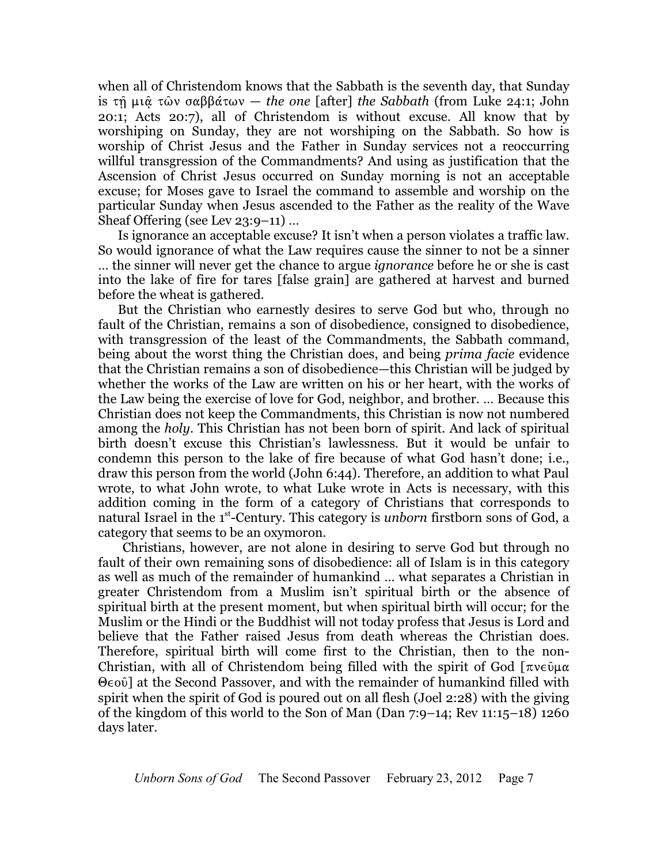when all of Christendom knows that the Sabbath is the seventh day, that Sunday is τη μια των σαββάτων — *the one* [after] *the Sabbath* (from Luke 24:1; John 20:1; Acts 20:7), all of Christendom is without excuse. All know that by worshiping on Sunday, they are not worshiping on the Sabbath. So how is worship of Christ Jesus and the Father in Sunday services not a reoccurring willful transgression of the Commandments? And using as justification that the Ascension of Christ Jesus occurred on Sunday morning is not an acceptable excuse; for Moses gave to Israel the command to assemble and worship on the particular Sunday when Jesus ascended to the Father as the reality of the Wave Sheaf Offering (see Lev 23:9–11) …

Is ignorance an acceptable excuse? It isn't when a person violates a traffic law. So would ignorance of what the Law requires cause the sinner to not be a sinner … the sinner will never get the chance to argue *ignorance* before he or she is cast into the lake of fire for tares [false grain] are gathered at harvest and burned before the wheat is gathered.

But the Christian who earnestly desires to serve God but who, through no fault of the Christian, remains a son of disobedience, consigned to disobedience, with transgression of the least of the Commandments, the Sabbath command, being about the worst thing the Christian does, and being *prima facie* evidence that the Christian remains a son of disobedience—this Christian will be judged by whether the works of the Law are written on his or her heart, with the works of the Law being the exercise of love for God, neighbor, and brother. … Because this Christian does not keep the Commandments, this Christian is now not numbered among the *holy*. This Christian has not been born of spirit. And lack of spiritual birth doesn't excuse this Christian's lawlessness. But it would be unfair to condemn this person to the lake of fire because of what God hasn't done; i.e., draw this person from the world (John 6:44). Therefore, an addition to what Paul wrote, to what John wrote, to what Luke wrote in Acts is necessary, with this addition coming in the form of a category of Christians that corresponds to natural Israel in the 1<sup>st</sup>-Century. This category is *unborn* firstborn sons of God, a category that seems to be an oxymoron.

 Christians, however, are not alone in desiring to serve God but through no fault of their own remaining sons of disobedience: all of Islam is in this category as well as much of the remainder of humankind … what separates a Christian in greater Christendom from a Muslim isn't spiritual birth or the absence of spiritual birth at the present moment, but when spiritual birth will occur; for the Muslim or the Hindi or the Buddhist will not today profess that Jesus is Lord and believe that the Father raised Jesus from death whereas the Christian does. Therefore, spiritual birth will come first to the Christian, then to the non-Christian, with all of Christendom being filled with the spirit of God  $\lceil \pi v \epsilon \hat{v} \mu \alpha \rceil$  $\Theta$  $\epsilon$ o $\hat{\nu}$ ] at the Second Passover, and with the remainder of humankind filled with spirit when the spirit of God is poured out on all flesh (Joel 2:28) with the giving of the kingdom of this world to the Son of Man (Dan 7:9–14; Rev 11:15–18) 1260 days later.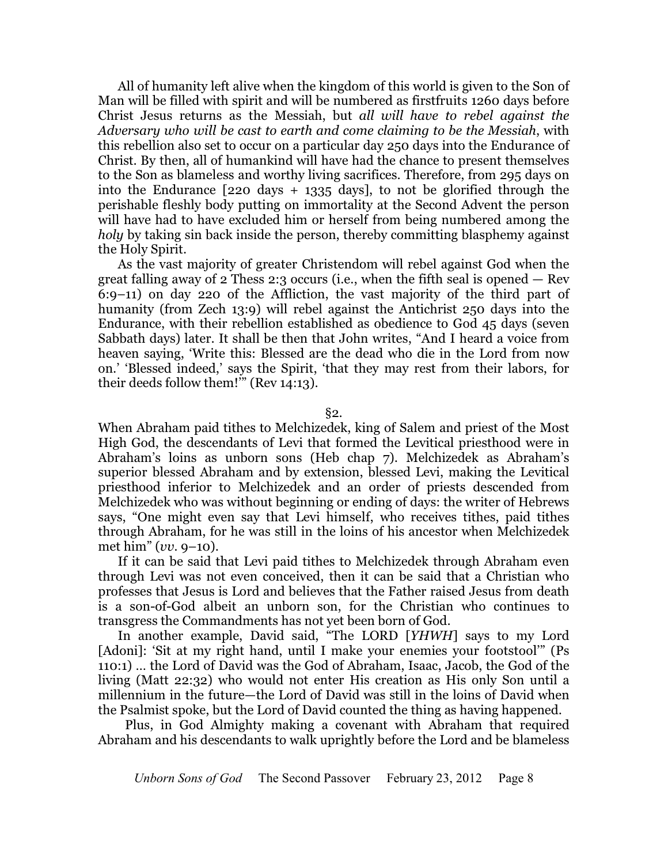All of humanity left alive when the kingdom of this world is given to the Son of Man will be filled with spirit and will be numbered as firstfruits 1260 days before Christ Jesus returns as the Messiah, but *all will have to rebel against the Adversary who will be cast to earth and come claiming to be the Messiah*, with this rebellion also set to occur on a particular day 250 days into the Endurance of Christ. By then, all of humankind will have had the chance to present themselves to the Son as blameless and worthy living sacrifices. Therefore, from 295 days on into the Endurance [220 days + 1335 days], to not be glorified through the perishable fleshly body putting on immortality at the Second Advent the person will have had to have excluded him or herself from being numbered among the *holy* by taking sin back inside the person, thereby committing blasphemy against the Holy Spirit.

As the vast majority of greater Christendom will rebel against God when the great falling away of 2 Thess 2:3 occurs (i.e., when the fifth seal is opened — Rev 6:9–11) on day 220 of the Affliction, the vast majority of the third part of humanity (from Zech 13:9) will rebel against the Antichrist 250 days into the Endurance, with their rebellion established as obedience to God 45 days (seven Sabbath days) later. It shall be then that John writes, "And I heard a voice from heaven saying, 'Write this: Blessed are the dead who die in the Lord from now on.' 'Blessed indeed,' says the Spirit, 'that they may rest from their labors, for their deeds follow them!'" (Rev 14:13).

§2.

When Abraham paid tithes to Melchizedek, king of Salem and priest of the Most High God, the descendants of Levi that formed the Levitical priesthood were in Abraham's loins as unborn sons (Heb chap 7). Melchizedek as Abraham's superior blessed Abraham and by extension, blessed Levi, making the Levitical priesthood inferior to Melchizedek and an order of priests descended from Melchizedek who was without beginning or ending of days: the writer of Hebrews says, "One might even say that Levi himself, who receives tithes, paid tithes through Abraham, for he was still in the loins of his ancestor when Melchizedek met him" (*vv.* 9–10).

If it can be said that Levi paid tithes to Melchizedek through Abraham even through Levi was not even conceived, then it can be said that a Christian who professes that Jesus is Lord and believes that the Father raised Jesus from death is a son-of-God albeit an unborn son, for the Christian who continues to transgress the Commandments has not yet been born of God.

In another example, David said, "The LORD [*YHWH*] says to my Lord [Adoni]: 'Sit at my right hand, until I make your enemies your footstool'" (Ps 110:1) … the Lord of David was the God of Abraham, Isaac, Jacob, the God of the living (Matt 22:32) who would not enter His creation as His only Son until a millennium in the future—the Lord of David was still in the loins of David when the Psalmist spoke, but the Lord of David counted the thing as having happened.

 Plus, in God Almighty making a covenant with Abraham that required Abraham and his descendants to walk uprightly before the Lord and be blameless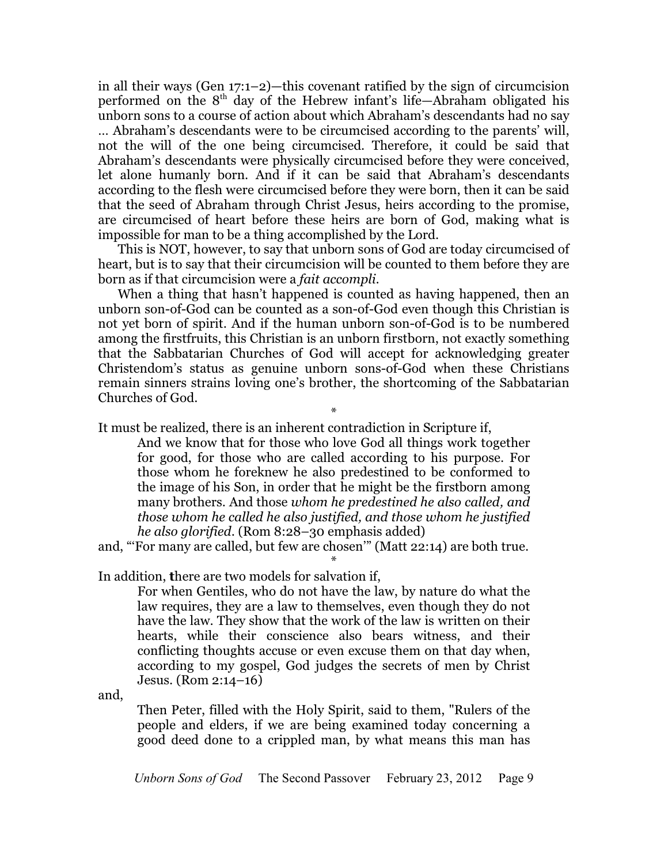in all their ways (Gen 17:1–2)—this covenant ratified by the sign of circumcision performed on the  $8<sup>th</sup>$  day of the Hebrew infant's life—Abraham obligated his unborn sons to a course of action about which Abraham's descendants had no say … Abraham's descendants were to be circumcised according to the parents' will, not the will of the one being circumcised. Therefore, it could be said that Abraham's descendants were physically circumcised before they were conceived, let alone humanly born. And if it can be said that Abraham's descendants according to the flesh were circumcised before they were born, then it can be said that the seed of Abraham through Christ Jesus, heirs according to the promise, are circumcised of heart before these heirs are born of God, making what is impossible for man to be a thing accomplished by the Lord.

This is NOT, however, to say that unborn sons of God are today circumcised of heart, but is to say that their circumcision will be counted to them before they are born as if that circumcision were a *fait accompli*.

When a thing that hasn't happened is counted as having happened, then an unborn son-of-God can be counted as a son-of-God even though this Christian is not yet born of spirit. And if the human unborn son-of-God is to be numbered among the firstfruits, this Christian is an unborn firstborn, not exactly something that the Sabbatarian Churches of God will accept for acknowledging greater Christendom's status as genuine unborn sons-of-God when these Christians remain sinners strains loving one's brother, the shortcoming of the Sabbatarian Churches of God.

\*

It must be realized, there is an inherent contradiction in Scripture if,

And we know that for those who love God all things work together for good, for those who are called according to his purpose. For those whom he foreknew he also predestined to be conformed to the image of his Son, in order that he might be the firstborn among many brothers. And those *whom he predestined he also called, and those whom he called he also justified, and those whom he justified he also glorified*. (Rom 8:28–30 emphasis added)

and, "'For many are called, but few are chosen'" (Matt 22:14) are both true.

\* In addition, **t**here are two models for salvation if,

> For when Gentiles, who do not have the law, by nature do what the law requires, they are a law to themselves, even though they do not have the law. They show that the work of the law is written on their hearts, while their conscience also bears witness, and their conflicting thoughts accuse or even excuse them on that day when, according to my gospel, God judges the secrets of men by Christ Jesus. (Rom 2:14–16)

and,

Then Peter, filled with the Holy Spirit, said to them, "Rulers of the people and elders, if we are being examined today concerning a good deed done to a crippled man, by what means this man has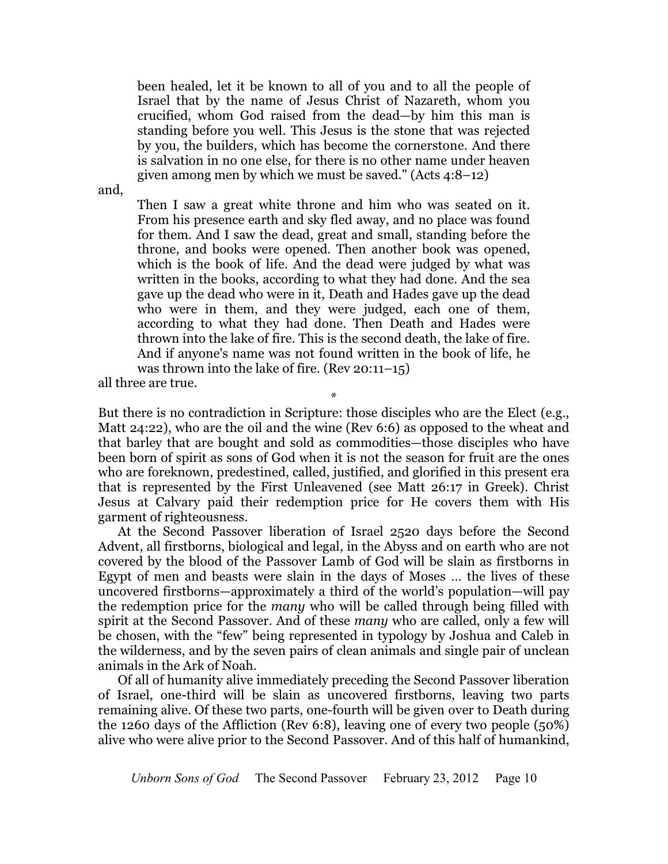been healed, let it be known to all of you and to all the people of Israel that by the name of Jesus Christ of Nazareth, whom you crucified, whom God raised from the dead—by him this man is standing before you well. This Jesus is the stone that was rejected by you, the builders, which has become the cornerstone. And there is salvation in no one else, for there is no other name under heaven given among men by which we must be saved." (Acts 4:8–12)

and,

Then I saw a great white throne and him who was seated on it. From his presence earth and sky fled away, and no place was found for them. And I saw the dead, great and small, standing before the throne, and books were opened. Then another book was opened, which is the book of life. And the dead were judged by what was written in the books, according to what they had done. And the sea gave up the dead who were in it, Death and Hades gave up the dead who were in them, and they were judged, each one of them, according to what they had done. Then Death and Hades were thrown into the lake of fire. This is the second death, the lake of fire. And if anyone's name was not found written in the book of life, he was thrown into the lake of fire. (Rev 20:11–15)

all three are true.

But there is no contradiction in Scripture: those disciples who are the Elect (e.g., Matt 24:22), who are the oil and the wine (Rev 6:6) as opposed to the wheat and that barley that are bought and sold as commodities—those disciples who have been born of spirit as sons of God when it is not the season for fruit are the ones who are foreknown, predestined, called, justified, and glorified in this present era that is represented by the First Unleavened (see Matt 26:17 in Greek). Christ Jesus at Calvary paid their redemption price for He covers them with His garment of righteousness.

\*

At the Second Passover liberation of Israel 2520 days before the Second Advent, all firstborns, biological and legal, in the Abyss and on earth who are not covered by the blood of the Passover Lamb of God will be slain as firstborns in Egypt of men and beasts were slain in the days of Moses … the lives of these uncovered firstborns—approximately a third of the world's population—will pay the redemption price for the *many* who will be called through being filled with spirit at the Second Passover. And of these *many* who are called, only a few will be chosen, with the "few" being represented in typology by Joshua and Caleb in the wilderness, and by the seven pairs of clean animals and single pair of unclean animals in the Ark of Noah.

Of all of humanity alive immediately preceding the Second Passover liberation of Israel, one-third will be slain as uncovered firstborns, leaving two parts remaining alive. Of these two parts, one-fourth will be given over to Death during the 1260 days of the Affliction (Rev 6:8), leaving one of every two people (50%) alive who were alive prior to the Second Passover. And of this half of humankind,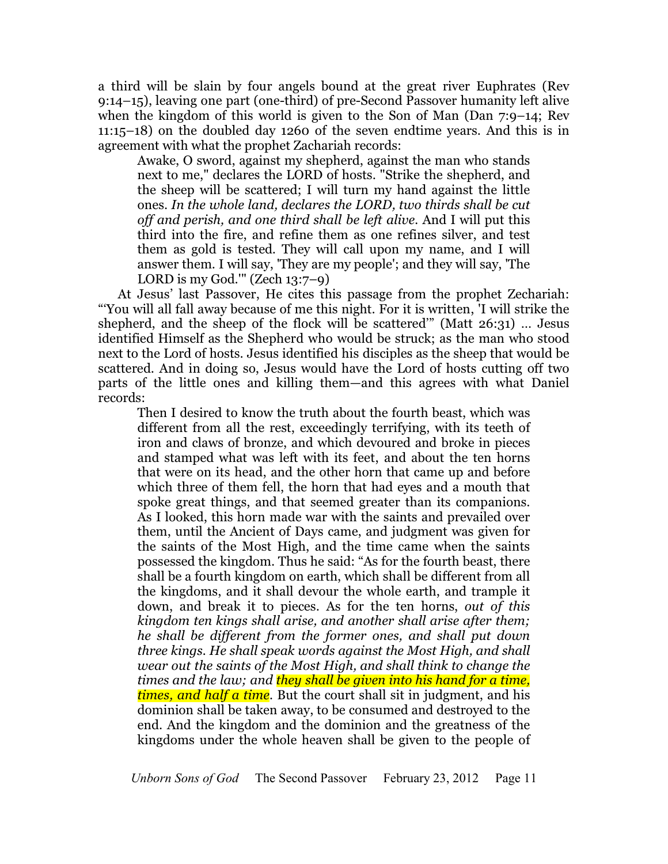a third will be slain by four angels bound at the great river Euphrates (Rev 9:14–15), leaving one part (one-third) of pre-Second Passover humanity left alive when the kingdom of this world is given to the Son of Man (Dan 7:9–14; Rev 11:15–18) on the doubled day 1260 of the seven endtime years. And this is in agreement with what the prophet Zachariah records:

Awake, O sword, against my shepherd, against the man who stands next to me," declares the LORD of hosts. "Strike the shepherd, and the sheep will be scattered; I will turn my hand against the little ones. *In the whole land, declares the LORD, two thirds shall be cut off and perish, and one third shall be left alive.* And I will put this third into the fire, and refine them as one refines silver, and test them as gold is tested. They will call upon my name, and I will answer them. I will say, 'They are my people'; and they will say, 'The LORD is my God.'"  $(Zech 13:7-9)$ 

At Jesus' last Passover, He cites this passage from the prophet Zechariah: "'You will all fall away because of me this night. For it is written, 'I will strike the shepherd, and the sheep of the flock will be scattered" (Matt 26:31) ... Jesus identified Himself as the Shepherd who would be struck; as the man who stood next to the Lord of hosts. Jesus identified his disciples as the sheep that would be scattered. And in doing so, Jesus would have the Lord of hosts cutting off two parts of the little ones and killing them—and this agrees with what Daniel records:

Then I desired to know the truth about the fourth beast, which was different from all the rest, exceedingly terrifying, with its teeth of iron and claws of bronze, and which devoured and broke in pieces and stamped what was left with its feet, and about the ten horns that were on its head, and the other horn that came up and before which three of them fell, the horn that had eyes and a mouth that spoke great things, and that seemed greater than its companions. As I looked, this horn made war with the saints and prevailed over them, until the Ancient of Days came, and judgment was given for the saints of the Most High, and the time came when the saints possessed the kingdom. Thus he said: "As for the fourth beast, there shall be a fourth kingdom on earth, which shall be different from all the kingdoms, and it shall devour the whole earth, and trample it down, and break it to pieces. As for the ten horns, *out of this kingdom ten kings shall arise, and another shall arise after them; he shall be different from the former ones, and shall put down three kings. He shall speak words against the Most High, and shall wear out the saints of the Most High, and shall think to change the times and the law; and they shall be given into his hand for a time, times, and half a time.* But the court shall sit in judgment, and his dominion shall be taken away, to be consumed and destroyed to the end. And the kingdom and the dominion and the greatness of the kingdoms under the whole heaven shall be given to the people of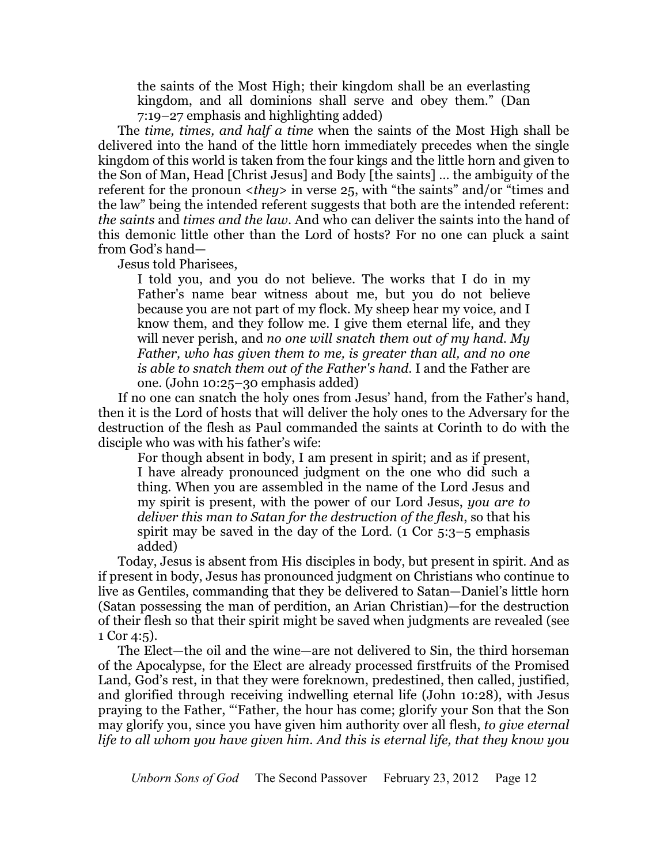the saints of the Most High; their kingdom shall be an everlasting kingdom, and all dominions shall serve and obey them." (Dan 7:19–27 emphasis and highlighting added)

The *time, times, and half a time* when the saints of the Most High shall be delivered into the hand of the little horn immediately precedes when the single kingdom of this world is taken from the four kings and the little horn and given to the Son of Man, Head [Christ Jesus] and Body [the saints] … the ambiguity of the referent for the pronoun <*they*> in verse 25, with "the saints" and/or "times and the law" being the intended referent suggests that both are the intended referent: *the saints* and *times and the law*. And who can deliver the saints into the hand of this demonic little other than the Lord of hosts? For no one can pluck a saint from God's hand—

Jesus told Pharisees,

I told you, and you do not believe. The works that I do in my Father's name bear witness about me, but you do not believe because you are not part of my flock. My sheep hear my voice, and I know them, and they follow me. I give them eternal life, and they will never perish, and *no one will snatch them out of my hand*. *My Father, who has given them to me, is greater than all, and no one is able to snatch them out of the Father's hand*. I and the Father are one. (John 10:25–30 emphasis added)

If no one can snatch the holy ones from Jesus' hand, from the Father's hand, then it is the Lord of hosts that will deliver the holy ones to the Adversary for the destruction of the flesh as Paul commanded the saints at Corinth to do with the disciple who was with his father's wife:

For though absent in body, I am present in spirit; and as if present, I have already pronounced judgment on the one who did such a thing. When you are assembled in the name of the Lord Jesus and my spirit is present, with the power of our Lord Jesus, *you are to deliver this man to Satan for the destruction of the flesh*, so that his spirit may be saved in the day of the Lord. (1 Cor 5:3–5 emphasis added)

Today, Jesus is absent from His disciples in body, but present in spirit. And as if present in body, Jesus has pronounced judgment on Christians who continue to live as Gentiles, commanding that they be delivered to Satan—Daniel's little horn (Satan possessing the man of perdition, an Arian Christian)—for the destruction of their flesh so that their spirit might be saved when judgments are revealed (see 1 Cor 4:5).

The Elect—the oil and the wine—are not delivered to Sin, the third horseman of the Apocalypse, for the Elect are already processed firstfruits of the Promised Land, God's rest, in that they were foreknown, predestined, then called, justified, and glorified through receiving indwelling eternal life (John 10:28), with Jesus praying to the Father, "'Father, the hour has come; glorify your Son that the Son may glorify you, since you have given him authority over all flesh, *to give eternal life to all whom you have given him. And this is eternal life, that they know you*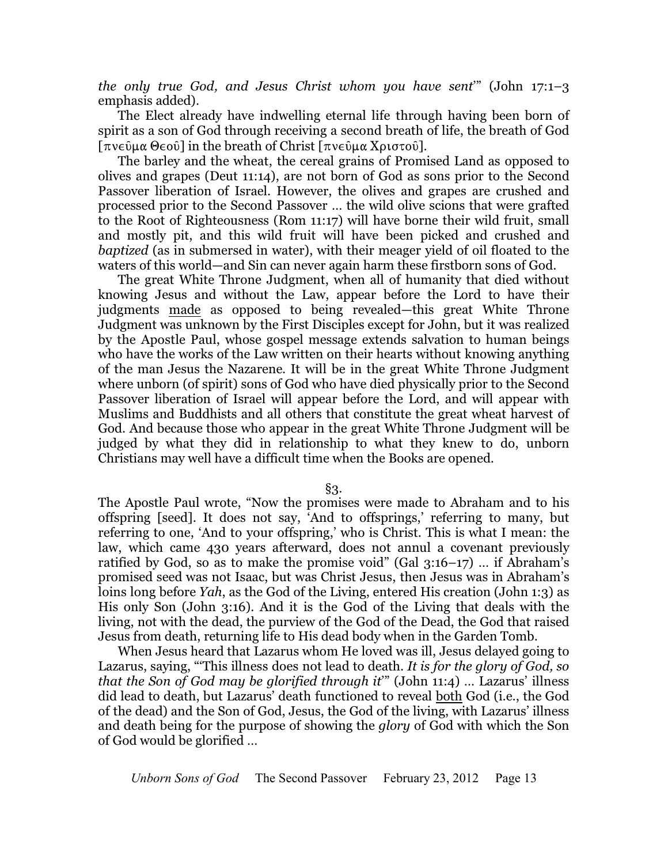*the only true God, and Jesus Christ whom you have sent*'" (John 17:1–3 emphasis added).

The Elect already have indwelling eternal life through having been born of spirit as a son of God through receiving a second breath of life, the breath of God  $[\pi \nu \in \hat{\mathfrak{g}} \mu \alpha \Theta \in \hat{\mathfrak{g}}]$  in the breath of Christ  $[\pi \nu \in \hat{\mathfrak{g}} \mu \alpha X \rho \nu \sigma \tau \hat{\mathfrak{g}}]$ .

The barley and the wheat, the cereal grains of Promised Land as opposed to olives and grapes (Deut 11:14), are not born of God as sons prior to the Second Passover liberation of Israel. However, the olives and grapes are crushed and processed prior to the Second Passover … the wild olive scions that were grafted to the Root of Righteousness (Rom 11:17) will have borne their wild fruit, small and mostly pit, and this wild fruit will have been picked and crushed and *baptized* (as in submersed in water), with their meager yield of oil floated to the waters of this world—and Sin can never again harm these firstborn sons of God.

The great White Throne Judgment, when all of humanity that died without knowing Jesus and without the Law, appear before the Lord to have their judgments made as opposed to being revealed—this great White Throne Judgment was unknown by the First Disciples except for John, but it was realized by the Apostle Paul, whose gospel message extends salvation to human beings who have the works of the Law written on their hearts without knowing anything of the man Jesus the Nazarene. It will be in the great White Throne Judgment where unborn (of spirit) sons of God who have died physically prior to the Second Passover liberation of Israel will appear before the Lord, and will appear with Muslims and Buddhists and all others that constitute the great wheat harvest of God. And because those who appear in the great White Throne Judgment will be judged by what they did in relationship to what they knew to do, unborn Christians may well have a difficult time when the Books are opened.

§3.

The Apostle Paul wrote, "Now the promises were made to Abraham and to his offspring [seed]. It does not say, 'And to offsprings,' referring to many, but referring to one, 'And to your offspring,' who is Christ. This is what I mean: the law, which came 430 years afterward, does not annul a covenant previously ratified by God, so as to make the promise void" (Gal 3:16–17) … if Abraham's promised seed was not Isaac, but was Christ Jesus, then Jesus was in Abraham's loins long before *Yah*, as the God of the Living, entered His creation (John 1:3) as His only Son (John 3:16). And it is the God of the Living that deals with the living, not with the dead, the purview of the God of the Dead, the God that raised Jesus from death, returning life to His dead body when in the Garden Tomb.

When Jesus heard that Lazarus whom He loved was ill, Jesus delayed going to Lazarus, saying, "'This illness does not lead to death. *It is for the glory of God, so that the Son of God may be glorified through it*'" (John 11:4) … Lazarus' illness did lead to death, but Lazarus' death functioned to reveal both God (i.e., the God of the dead) and the Son of God, Jesus, the God of the living, with Lazarus' illness and death being for the purpose of showing the *glory* of God with which the Son of God would be glorified …

*Unborn Sons of God* The Second Passover February 23, 2012 Page 13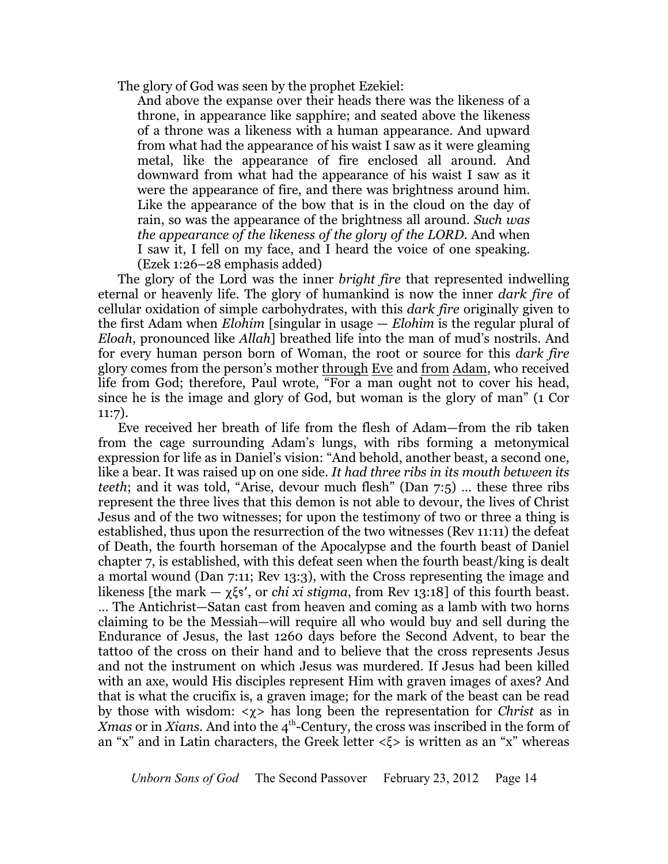The glory of God was seen by the prophet Ezekiel:

And above the expanse over their heads there was the likeness of a throne, in appearance like sapphire; and seated above the likeness of a throne was a likeness with a human appearance. And upward from what had the appearance of his waist I saw as it were gleaming metal, like the appearance of fire enclosed all around. And downward from what had the appearance of his waist I saw as it were the appearance of fire, and there was brightness around him. Like the appearance of the bow that is in the cloud on the day of rain, so was the appearance of the brightness all around. *Such was the appearance of the likeness of the glory of the LORD*. And when I saw it, I fell on my face, and I heard the voice of one speaking. (Ezek 1:26–28 emphasis added)

The glory of the Lord was the inner *bright fire* that represented indwelling eternal or heavenly life. The glory of humankind is now the inner *dark fire* of cellular oxidation of simple carbohydrates, with this *dark fire* originally given to the first Adam when *Elohim* [singular in usage — *Elohim* is the regular plural of *Eloah*, pronounced like *Allah*] breathed life into the man of mud's nostrils. And for every human person born of Woman, the root or source for this *dark fire* glory comes from the person's mother through Eve and from Adam, who received life from God; therefore, Paul wrote, "For a man ought not to cover his head, since he is the image and glory of God, but woman is the glory of man" (1 Cor 11:7).

Eve received her breath of life from the flesh of Adam—from the rib taken from the cage surrounding Adam's lungs, with ribs forming a metonymical expression for life as in Daniel's vision: "And behold, another beast, a second one, like a bear. It was raised up on one side. *It had three ribs in its mouth between its teeth*; and it was told, "Arise, devour much flesh" (Dan 7:5) … these three ribs represent the three lives that this demon is not able to devour, the lives of Christ Jesus and of the two witnesses; for upon the testimony of two or three a thing is established, thus upon the resurrection of the two witnesses (Rev 11:11) the defeat of Death, the fourth horseman of the Apocalypse and the fourth beast of Daniel chapter 7, is established, with this defeat seen when the fourth beast/king is dealt a mortal wound (Dan 7:11; Rev 13:3), with the Cross representing the image and likeness [the mark  $-\chi\xi s'$ , or *chi xi stigma*, from Rev 13:18] of this fourth beast. … The Antichrist—Satan cast from heaven and coming as a lamb with two horns claiming to be the Messiah—will require all who would buy and sell during the Endurance of Jesus, the last 1260 days before the Second Advent, to bear the tattoo of the cross on their hand and to believe that the cross represents Jesus and not the instrument on which Jesus was murdered. If Jesus had been killed with an axe, would His disciples represent Him with graven images of axes? And that is what the crucifix is, a graven image; for the mark of the beast can be read by those with wisdom:  $\langle \chi \rangle$  has long been the representation for *Christ* as in *Xmas* or in *Xians*. And into the 4<sup>th</sup>-Century, the cross was inscribed in the form of an "x" and in Latin characters, the Greek letter  $\langle \xi \rangle$  is written as an "x" whereas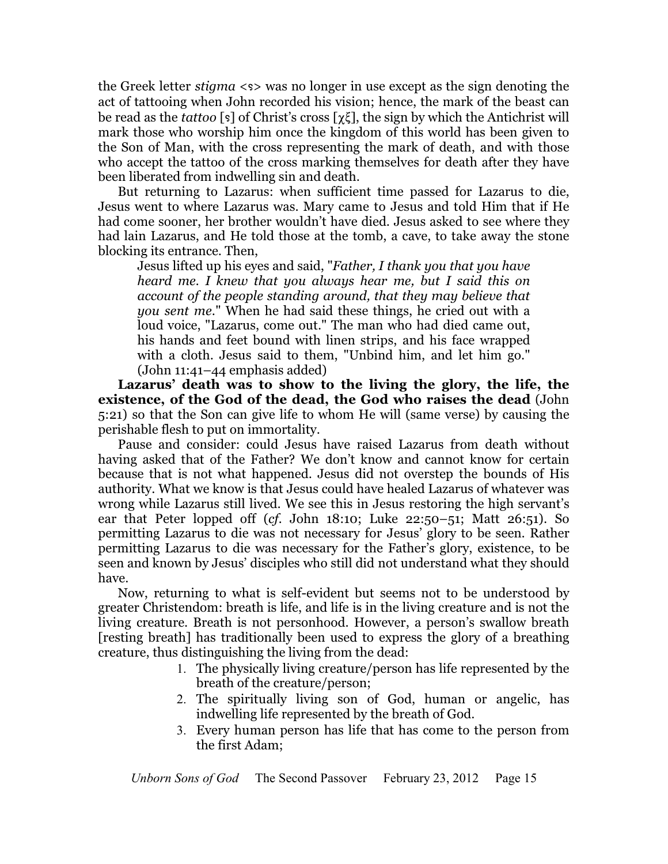the Greek letter *stigma* <s> was no longer in use except as the sign denoting the act of tattooing when John recorded his vision; hence, the mark of the beast can be read as the *tattoo* [s] of Christ's cross  $[\chi \xi]$ , the sign by which the Antichrist will mark those who worship him once the kingdom of this world has been given to the Son of Man, with the cross representing the mark of death, and with those who accept the tattoo of the cross marking themselves for death after they have been liberated from indwelling sin and death.

But returning to Lazarus: when sufficient time passed for Lazarus to die, Jesus went to where Lazarus was. Mary came to Jesus and told Him that if He had come sooner, her brother wouldn't have died. Jesus asked to see where they had lain Lazarus, and He told those at the tomb, a cave, to take away the stone blocking its entrance. Then,

Jesus lifted up his eyes and said, "*Father, I thank you that you have heard me. I knew that you always hear me, but I said this on account of the people standing around, that they may believe that you sent me*." When he had said these things, he cried out with a loud voice, "Lazarus, come out." The man who had died came out, his hands and feet bound with linen strips, and his face wrapped with a cloth. Jesus said to them, "Unbind him, and let him go." (John 11:41–44 emphasis added)

**Lazarus' death was to show to the living the glory, the life, the existence, of the God of the dead, the God who raises the dead** (John 5:21) so that the Son can give life to whom He will (same verse) by causing the perishable flesh to put on immortality.

Pause and consider: could Jesus have raised Lazarus from death without having asked that of the Father? We don't know and cannot know for certain because that is not what happened. Jesus did not overstep the bounds of His authority. What we know is that Jesus could have healed Lazarus of whatever was wrong while Lazarus still lived. We see this in Jesus restoring the high servant's ear that Peter lopped off (*cf.* John 18:10; Luke 22:50–51; Matt 26:51). So permitting Lazarus to die was not necessary for Jesus' glory to be seen. Rather permitting Lazarus to die was necessary for the Father's glory, existence, to be seen and known by Jesus' disciples who still did not understand what they should have.

Now, returning to what is self-evident but seems not to be understood by greater Christendom: breath is life, and life is in the living creature and is not the living creature. Breath is not personhood. However, a person's swallow breath [resting breath] has traditionally been used to express the glory of a breathing creature, thus distinguishing the living from the dead:

> The physically living creature/person has life represented by the breath of the creature/person;

> The spiritually living son of God, human or angelic, has indwelling life represented by the breath of God.

> Every human person has life that has come to the person from the first Adam;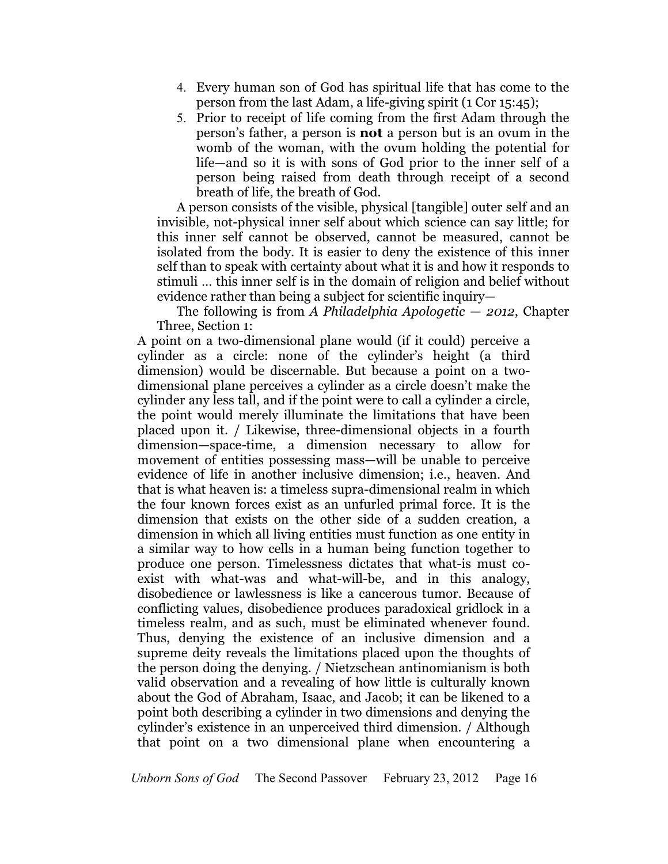Every human son of God has spiritual life that has come to the person from the last Adam, a life-giving spirit (1 Cor 15:45);

5. Prior to receipt of life coming from the first Adam through the person's father, a person is **not** a person but is an ovum in the womb of the woman, with the ovum holding the potential for life—and so it is with sons of God prior to the inner self of a person being raised from death through receipt of a second breath of life, the breath of God.

A person consists of the visible, physical [tangible] outer self and an invisible, not-physical inner self about which science can say little; for this inner self cannot be observed, cannot be measured, cannot be isolated from the body. It is easier to deny the existence of this inner self than to speak with certainty about what it is and how it responds to stimuli … this inner self is in the domain of religion and belief without evidence rather than being a subject for scientific inquiry—

The following is from *A Philadelphia Apologetic — 2012*, Chapter Three, Section 1:

A point on a two-dimensional plane would (if it could) perceive a cylinder as a circle: none of the cylinder's height (a third dimension) would be discernable. But because a point on a twodimensional plane perceives a cylinder as a circle doesn't make the cylinder any less tall, and if the point were to call a cylinder a circle, the point would merely illuminate the limitations that have been placed upon it. / Likewise, three-dimensional objects in a fourth dimension—space-time, a dimension necessary to allow for movement of entities possessing mass—will be unable to perceive evidence of life in another inclusive dimension; i.e., heaven. And that is what heaven is: a timeless supra-dimensional realm in which the four known forces exist as an unfurled primal force. It is the dimension that exists on the other side of a sudden creation, a dimension in which all living entities must function as one entity in a similar way to how cells in a human being function together to produce one person. Timelessness dictates that what-is must coexist with what-was and what-will-be, and in this analogy, disobedience or lawlessness is like a cancerous tumor. Because of conflicting values, disobedience produces paradoxical gridlock in a timeless realm, and as such, must be eliminated whenever found. Thus, denying the existence of an inclusive dimension and a supreme deity reveals the limitations placed upon the thoughts of the person doing the denying. / Nietzschean antinomianism is both valid observation and a revealing of how little is culturally known about the God of Abraham, Isaac, and Jacob; it can be likened to a point both describing a cylinder in two dimensions and denying the cylinder's existence in an unperceived third dimension. / Although that point on a two dimensional plane when encountering a

*Unborn Sons of God* The Second Passover February 23, 2012 Page 16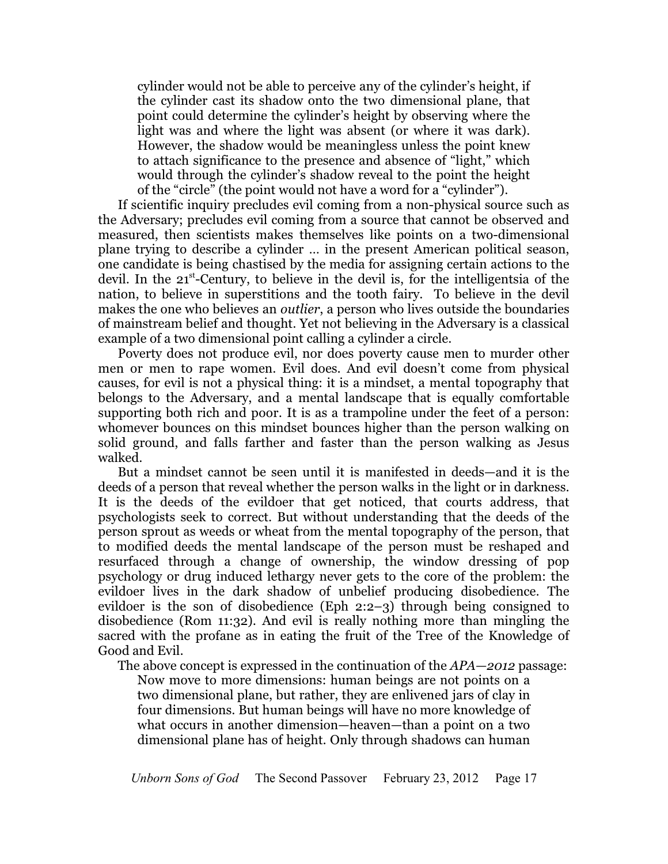cylinder would not be able to perceive any of the cylinder's height, if the cylinder cast its shadow onto the two dimensional plane, that point could determine the cylinder's height by observing where the light was and where the light was absent (or where it was dark). However, the shadow would be meaningless unless the point knew to attach significance to the presence and absence of "light," which would through the cylinder's shadow reveal to the point the height of the "circle" (the point would not have a word for a "cylinder").

If scientific inquiry precludes evil coming from a non-physical source such as the Adversary; precludes evil coming from a source that cannot be observed and measured, then scientists makes themselves like points on a two-dimensional plane trying to describe a cylinder … in the present American political season, one candidate is being chastised by the media for assigning certain actions to the devil. In the  $21<sup>st</sup>$ -Century, to believe in the devil is, for the intelligentsia of the nation, to believe in superstitions and the tooth fairy. To believe in the devil makes the one who believes an *outlier*, a person who lives outside the boundaries of mainstream belief and thought. Yet not believing in the Adversary is a classical example of a two dimensional point calling a cylinder a circle.

Poverty does not produce evil, nor does poverty cause men to murder other men or men to rape women. Evil does. And evil doesn't come from physical causes, for evil is not a physical thing: it is a mindset, a mental topography that belongs to the Adversary, and a mental landscape that is equally comfortable supporting both rich and poor. It is as a trampoline under the feet of a person: whomever bounces on this mindset bounces higher than the person walking on solid ground, and falls farther and faster than the person walking as Jesus walked.

But a mindset cannot be seen until it is manifested in deeds—and it is the deeds of a person that reveal whether the person walks in the light or in darkness. It is the deeds of the evildoer that get noticed, that courts address, that psychologists seek to correct. But without understanding that the deeds of the person sprout as weeds or wheat from the mental topography of the person, that to modified deeds the mental landscape of the person must be reshaped and resurfaced through a change of ownership, the window dressing of pop psychology or drug induced lethargy never gets to the core of the problem: the evildoer lives in the dark shadow of unbelief producing disobedience. The evildoer is the son of disobedience (Eph 2:2–3) through being consigned to disobedience (Rom 11:32). And evil is really nothing more than mingling the sacred with the profane as in eating the fruit of the Tree of the Knowledge of Good and Evil.

The above concept is expressed in the continuation of the *APA—2012* passage: Now move to more dimensions: human beings are not points on a two dimensional plane, but rather, they are enlivened jars of clay in four dimensions. But human beings will have no more knowledge of what occurs in another dimension—heaven—than a point on a two dimensional plane has of height. Only through shadows can human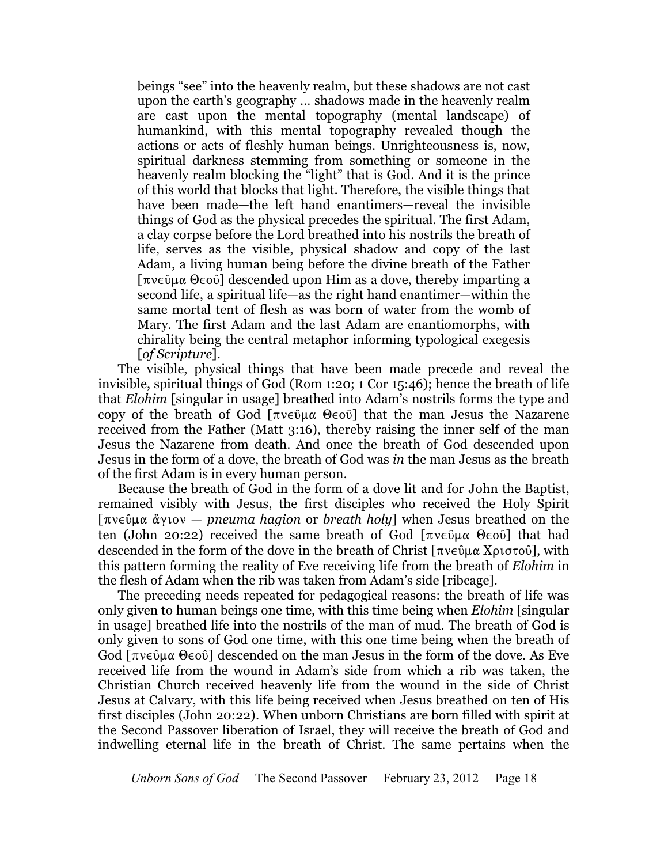beings "see" into the heavenly realm, but these shadows are not cast upon the earth's geography … shadows made in the heavenly realm are cast upon the mental topography (mental landscape) of humankind, with this mental topography revealed though the actions or acts of fleshly human beings. Unrighteousness is, now, spiritual darkness stemming from something or someone in the heavenly realm blocking the "light" that is God. And it is the prince of this world that blocks that light. Therefore, the visible things that have been made—the left hand enantimers—reveal the invisible things of God as the physical precedes the spiritual. The first Adam, a clay corpse before the Lord breathed into his nostrils the breath of life, serves as the visible, physical shadow and copy of the last Adam, a living human being before the divine breath of the Father  $\lceil \pi v \in \hat{\mathfrak{g}} \times \hat{\mathfrak{g}} \times \hat{\mathfrak{g}} \times \hat{\mathfrak{g}} \times \hat{\mathfrak{g}} \times \hat{\mathfrak{g}} \times \hat{\mathfrak{g}} \times \hat{\mathfrak{g}} \times \hat{\mathfrak{g}} \times \hat{\mathfrak{g}} \times \hat{\mathfrak{g}} \times \hat{\mathfrak{g}} \times \hat{\mathfrak{g}} \times \hat{\mathfrak{g}} \times \hat{\mathfrak{g}} \times \hat{\mathfrak{g}} \times \hat{\mathfrak{g}} \times \hat{\mathfrak{g}} \times \hat{\mathfrak{g}} \times \hat{\$ second life, a spiritual life—as the right hand enantimer—within the same mortal tent of flesh as was born of water from the womb of Mary. The first Adam and the last Adam are enantiomorphs, with chirality being the central metaphor informing typological exegesis [*of Scripture*].

The visible, physical things that have been made precede and reveal the invisible, spiritual things of God (Rom 1:20; 1 Cor 15:46); hence the breath of life that *Elohim* [singular in usage] breathed into Adam's nostrils forms the type and copy of the breath of God  $[\pi v \in \mathfrak{g} \times \mathfrak{g}]$  that the man Jesus the Nazarene received from the Father (Matt 3:16), thereby raising the inner self of the man Jesus the Nazarene from death. And once the breath of God descended upon Jesus in the form of a dove, the breath of God was *in* the man Jesus as the breath of the first Adam is in every human person.

Because the breath of God in the form of a dove lit and for John the Baptist, remained visibly with Jesus, the first disciples who received the Holy Spirit [πνεῦμα ἄγιον — *pneuma hagion* or *breath holy*] when Jesus breathed on the ten (John 20:22) received the same breath of God [ $\pi$ νεῦμα Θεοῦ] that had descended in the form of the dove in the breath of Christ  $\lceil \pi v \in \hat{\mathfrak{g}} \times \mathfrak{g}(\sigma \circ \hat{\mathfrak{g}})$ , with this pattern forming the reality of Eve receiving life from the breath of *Elohim* in the flesh of Adam when the rib was taken from Adam's side [ribcage].

The preceding needs repeated for pedagogical reasons: the breath of life was only given to human beings one time, with this time being when *Elohim* [singular in usage] breathed life into the nostrils of the man of mud. The breath of God is only given to sons of God one time, with this one time being when the breath of God  $\lceil \pi v \in \hat{\mathfrak{g}} \times \hat{\mathfrak{g}} \times \hat{\mathfrak{g}} \times \hat{\mathfrak{g}} \times \hat{\mathfrak{g}} \times \hat{\mathfrak{g}} \times \hat{\mathfrak{g}} \times \hat{\mathfrak{g}} \times \hat{\mathfrak{g}} \times \hat{\mathfrak{g}} \times \hat{\mathfrak{g}} \times \hat{\mathfrak{g}} \times \hat{\mathfrak{g}} \times \hat{\mathfrak{g}} \times \hat{\mathfrak{g}} \times \hat{\mathfrak{g}} \times \hat{\mathfrak{g}} \times \hat{\mathfrak{g}} \times \hat{\mathfrak{g}} \$ received life from the wound in Adam's side from which a rib was taken, the Christian Church received heavenly life from the wound in the side of Christ Jesus at Calvary, with this life being received when Jesus breathed on ten of His first disciples (John 20:22). When unborn Christians are born filled with spirit at the Second Passover liberation of Israel, they will receive the breath of God and indwelling eternal life in the breath of Christ. The same pertains when the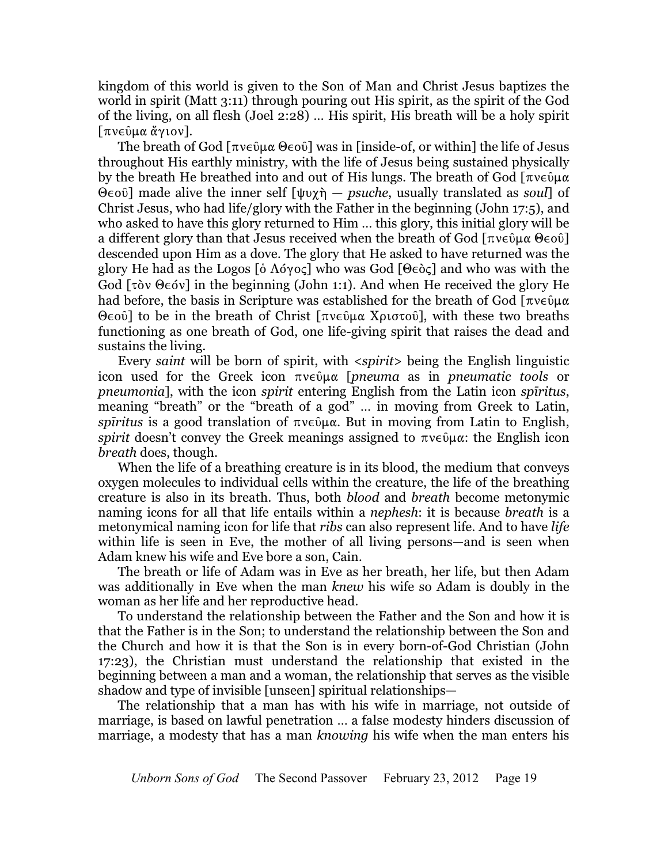kingdom of this world is given to the Son of Man and Christ Jesus baptizes the world in spirit (Matt 3:11) through pouring out His spirit, as the spirit of the God of the living, on all flesh (Joel 2:28) … His spirit, His breath will be a holy spirit  $[\pi v \in \hat{v} \mu \alpha \, \hat{\alpha} \gamma v \sigma v]$ .

The breath of God [ $\pi$ νεῦμα Θεοῦ] was in [inside-of, or within] the life of Jesus throughout His earthly ministry, with the life of Jesus being sustained physically by the breath He breathed into and out of His lungs. The breath of God  $[\pi v \epsilon \hat{v} \mu \alpha]$  $\Theta$  $\epsilon$ <sup>o</sup> $\theta$ ] made alive the inner self  $\phi$   $\psi$   $\phi$  — *psuche*, usually translated as *soul*] of Christ Jesus, who had life/glory with the Father in the beginning (John 17:5), and who asked to have this glory returned to Him … this glory, this initial glory will be a different glory than that Jesus received when the breath of God  $[\pi v \epsilon \hat{\mu} \mu \alpha \Theta \epsilon o \hat{\nu}]$ descended upon Him as a dove. The glory that He asked to have returned was the glory He had as the Logos  $\delta \Delta \phi$  who was God  $\delta$   $\delta$  and who was with the God  $\lceil \tau \delta v \Theta \epsilon_0 v \rceil$  in the beginning (John 1:1). And when He received the glory He had before, the basis in Scripture was established for the breath of God  $\lceil \pi v \epsilon \hat{v} \mu \alpha \rceil$  $\Theta$ εού] to be in the breath of Christ [πνεύμα Χριστού], with these two breaths functioning as one breath of God, one life-giving spirit that raises the dead and sustains the living.

Every *saint* will be born of spirit, with <*spirit*> being the English linguistic icon used for the Greek icon πνεύμα *[pneuma* as in *pneumatic tools* or *pneumonia*], with the icon *spirit* entering English from the Latin icon *spîritus*, meaning "breath" or the "breath of a god" … in moving from Greek to Latin, *spiritus* is a good translation of  $\pi v \in \mathcal{W}$ . But in moving from Latin to English, *spirit* doesn't convey the Greek meanings assigned to  $\pi$  ve $\hat{\mu}$  at the English icon *breath* does, though.

When the life of a breathing creature is in its blood, the medium that conveys oxygen molecules to individual cells within the creature, the life of the breathing creature is also in its breath. Thus, both *blood* and *breath* become metonymic naming icons for all that life entails within a *nephesh*: it is because *breath* is a metonymical naming icon for life that *ribs* can also represent life. And to have *life* within life is seen in Eve, the mother of all living persons—and is seen when Adam knew his wife and Eve bore a son, Cain.

The breath or life of Adam was in Eve as her breath, her life, but then Adam was additionally in Eve when the man *knew* his wife so Adam is doubly in the woman as her life and her reproductive head.

To understand the relationship between the Father and the Son and how it is that the Father is in the Son; to understand the relationship between the Son and the Church and how it is that the Son is in every born-of-God Christian (John 17:23), the Christian must understand the relationship that existed in the beginning between a man and a woman, the relationship that serves as the visible shadow and type of invisible [unseen] spiritual relationships—

The relationship that a man has with his wife in marriage, not outside of marriage, is based on lawful penetration … a false modesty hinders discussion of marriage, a modesty that has a man *knowing* his wife when the man enters his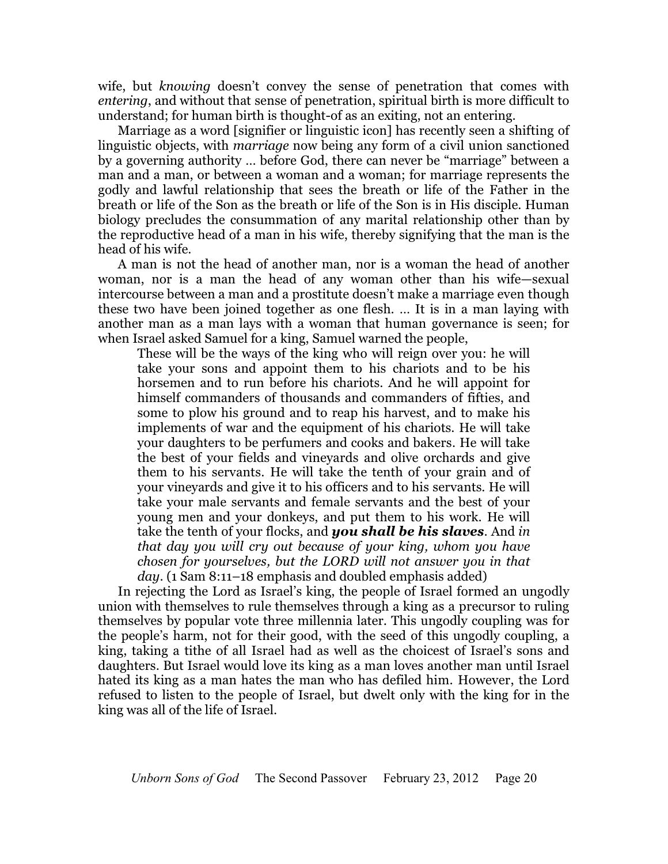wife, but *knowing* doesn't convey the sense of penetration that comes with *entering*, and without that sense of penetration, spiritual birth is more difficult to understand; for human birth is thought-of as an exiting, not an entering.

Marriage as a word [signifier or linguistic icon] has recently seen a shifting of linguistic objects, with *marriage* now being any form of a civil union sanctioned by a governing authority … before God, there can never be "marriage" between a man and a man, or between a woman and a woman; for marriage represents the godly and lawful relationship that sees the breath or life of the Father in the breath or life of the Son as the breath or life of the Son is in His disciple. Human biology precludes the consummation of any marital relationship other than by the reproductive head of a man in his wife, thereby signifying that the man is the head of his wife.

A man is not the head of another man, nor is a woman the head of another woman, nor is a man the head of any woman other than his wife—sexual intercourse between a man and a prostitute doesn't make a marriage even though these two have been joined together as one flesh. … It is in a man laying with another man as a man lays with a woman that human governance is seen; for when Israel asked Samuel for a king, Samuel warned the people,

These will be the ways of the king who will reign over you: he will take your sons and appoint them to his chariots and to be his horsemen and to run before his chariots. And he will appoint for himself commanders of thousands and commanders of fifties, and some to plow his ground and to reap his harvest, and to make his implements of war and the equipment of his chariots. He will take your daughters to be perfumers and cooks and bakers. He will take the best of your fields and vineyards and olive orchards and give them to his servants. He will take the tenth of your grain and of your vineyards and give it to his officers and to his servants. He will take your male servants and female servants and the best of your young men and your donkeys, and put them to his work. He will take the tenth of your flocks, and *you shall be his slaves*. And *in that day you will cry out because of your king, whom you have chosen for yourselves, but the LORD will not answer you in that day*. (1 Sam 8:11–18 emphasis and doubled emphasis added)

In rejecting the Lord as Israel's king, the people of Israel formed an ungodly union with themselves to rule themselves through a king as a precursor to ruling themselves by popular vote three millennia later. This ungodly coupling was for the people's harm, not for their good, with the seed of this ungodly coupling, a king, taking a tithe of all Israel had as well as the choicest of Israel's sons and daughters. But Israel would love its king as a man loves another man until Israel hated its king as a man hates the man who has defiled him. However, the Lord refused to listen to the people of Israel, but dwelt only with the king for in the king was all of the life of Israel.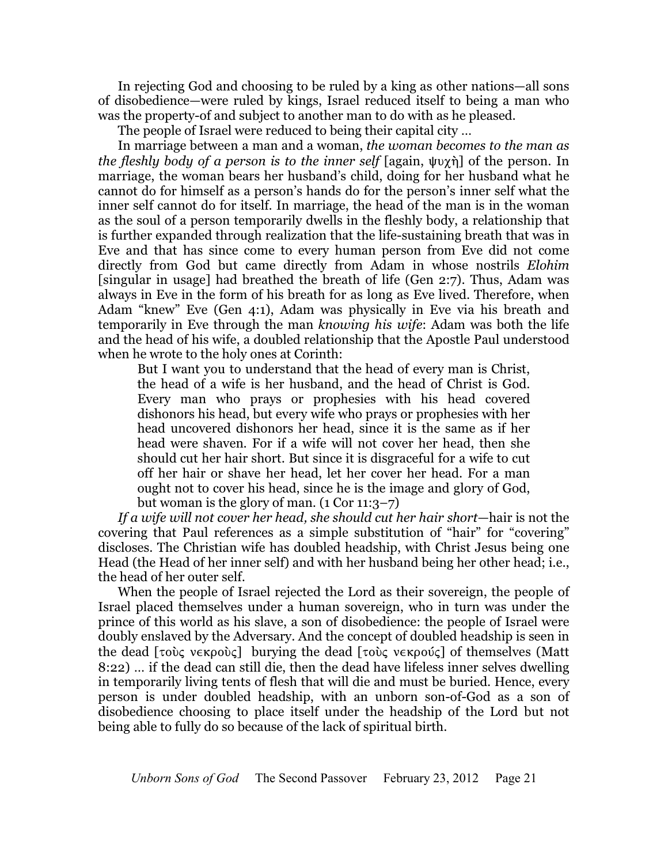In rejecting God and choosing to be ruled by a king as other nations—all sons of disobedience—were ruled by kings, Israel reduced itself to being a man who was the property-of and subject to another man to do with as he pleased.

The people of Israel were reduced to being their capital city …

In marriage between a man and a woman, *the woman becomes to the man as the fleshly body of a person is to the inner self* [again,  $\psi$ <sub>)</sub> [of the person. In marriage, the woman bears her husband's child, doing for her husband what he cannot do for himself as a person's hands do for the person's inner self what the inner self cannot do for itself. In marriage, the head of the man is in the woman as the soul of a person temporarily dwells in the fleshly body, a relationship that is further expanded through realization that the life-sustaining breath that was in Eve and that has since come to every human person from Eve did not come directly from God but came directly from Adam in whose nostrils *Elohim* [singular in usage] had breathed the breath of life (Gen 2:7). Thus, Adam was always in Eve in the form of his breath for as long as Eve lived. Therefore, when Adam "knew" Eve (Gen 4:1), Adam was physically in Eve via his breath and temporarily in Eve through the man *knowing his wife*: Adam was both the life and the head of his wife, a doubled relationship that the Apostle Paul understood when he wrote to the holy ones at Corinth:

But I want you to understand that the head of every man is Christ, the head of a wife is her husband, and the head of Christ is God. Every man who prays or prophesies with his head covered dishonors his head, but every wife who prays or prophesies with her head uncovered dishonors her head, since it is the same as if her head were shaven. For if a wife will not cover her head, then she should cut her hair short. But since it is disgraceful for a wife to cut off her hair or shave her head, let her cover her head. For a man ought not to cover his head, since he is the image and glory of God, but woman is the glory of man.  $(1 \text{ Cor } 11:3-7)$ 

*If a wife will not cover her head, she should cut her hair short*—hair is not the covering that Paul references as a simple substitution of "hair" for "covering" discloses. The Christian wife has doubled headship, with Christ Jesus being one Head (the Head of her inner self) and with her husband being her other head; i.e., the head of her outer self.

When the people of Israel rejected the Lord as their sovereign, the people of Israel placed themselves under a human sovereign, who in turn was under the prince of this world as his slave, a son of disobedience: the people of Israel were doubly enslaved by the Adversary. And the concept of doubled headship is seen in the dead  $\lceil \text{to} \rangle$  veronctors burying the dead  $\lceil \text{to} \rangle$  veronctors of themselves (Matt 8:22) … if the dead can still die, then the dead have lifeless inner selves dwelling in temporarily living tents of flesh that will die and must be buried. Hence, every person is under doubled headship, with an unborn son-of-God as a son of disobedience choosing to place itself under the headship of the Lord but not being able to fully do so because of the lack of spiritual birth.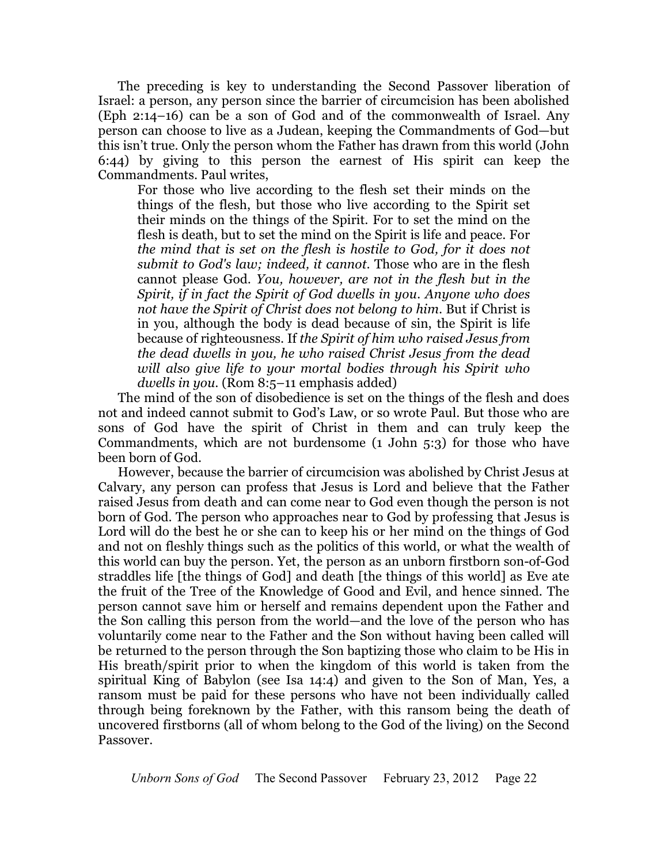The preceding is key to understanding the Second Passover liberation of Israel: a person, any person since the barrier of circumcision has been abolished (Eph 2:14–16) can be a son of God and of the commonwealth of Israel. Any person can choose to live as a Judean, keeping the Commandments of God—but this isn't true. Only the person whom the Father has drawn from this world (John 6:44) by giving to this person the earnest of His spirit can keep the Commandments. Paul writes,

For those who live according to the flesh set their minds on the things of the flesh, but those who live according to the Spirit set their minds on the things of the Spirit. For to set the mind on the flesh is death, but to set the mind on the Spirit is life and peace. For *the mind that is set on the flesh is hostile to God, for it does not submit to God's law; indeed, it cannot*. Those who are in the flesh cannot please God. *You, however, are not in the flesh but in the Spirit, if in fact the Spirit of God dwells in you. Anyone who does not have the Spirit of Christ does not belong to him*. But if Christ is in you, although the body is dead because of sin, the Spirit is life because of righteousness. If *the Spirit of him who raised Jesus from the dead dwells in you, he who raised Christ Jesus from the dead will also give life to your mortal bodies through his Spirit who dwells in you*. (Rom 8:5–11 emphasis added)

The mind of the son of disobedience is set on the things of the flesh and does not and indeed cannot submit to God's Law, or so wrote Paul. But those who are sons of God have the spirit of Christ in them and can truly keep the Commandments, which are not burdensome (1 John 5:3) for those who have been born of God.

However, because the barrier of circumcision was abolished by Christ Jesus at Calvary, any person can profess that Jesus is Lord and believe that the Father raised Jesus from death and can come near to God even though the person is not born of God. The person who approaches near to God by professing that Jesus is Lord will do the best he or she can to keep his or her mind on the things of God and not on fleshly things such as the politics of this world, or what the wealth of this world can buy the person. Yet, the person as an unborn firstborn son-of-God straddles life [the things of God] and death [the things of this world] as Eve ate the fruit of the Tree of the Knowledge of Good and Evil, and hence sinned. The person cannot save him or herself and remains dependent upon the Father and the Son calling this person from the world—and the love of the person who has voluntarily come near to the Father and the Son without having been called will be returned to the person through the Son baptizing those who claim to be His in His breath/spirit prior to when the kingdom of this world is taken from the spiritual King of Babylon (see Isa 14:4) and given to the Son of Man, Yes, a ransom must be paid for these persons who have not been individually called through being foreknown by the Father, with this ransom being the death of uncovered firstborns (all of whom belong to the God of the living) on the Second Passover.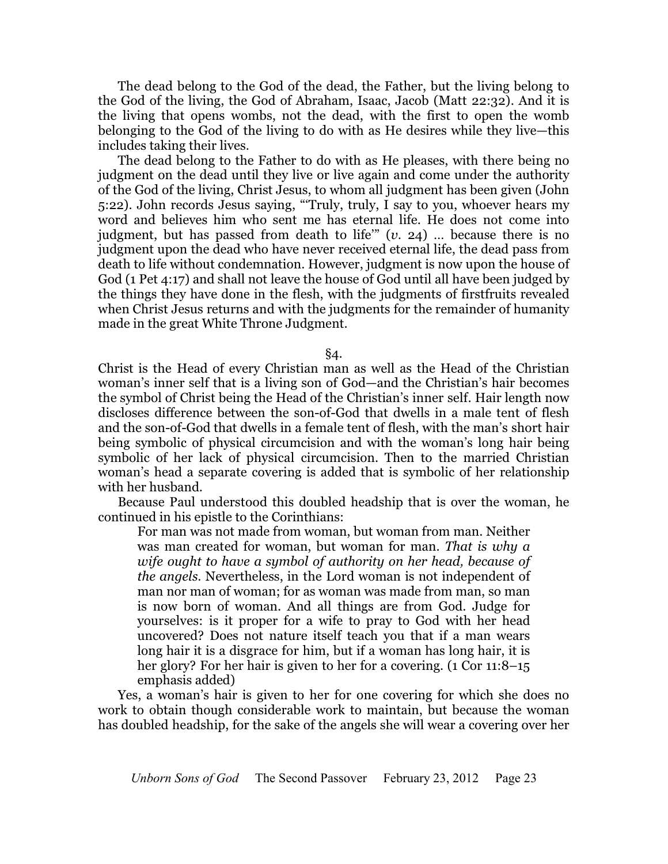The dead belong to the God of the dead, the Father, but the living belong to the God of the living, the God of Abraham, Isaac, Jacob (Matt 22:32). And it is the living that opens wombs, not the dead, with the first to open the womb belonging to the God of the living to do with as He desires while they live—this includes taking their lives.

The dead belong to the Father to do with as He pleases, with there being no judgment on the dead until they live or live again and come under the authority of the God of the living, Christ Jesus, to whom all judgment has been given (John 5:22). John records Jesus saying, "'Truly, truly, I say to you, whoever hears my word and believes him who sent me has eternal life. He does not come into judgment, but has passed from death to life'" (*v.* 24) … because there is no judgment upon the dead who have never received eternal life, the dead pass from death to life without condemnation. However, judgment is now upon the house of God (1 Pet 4:17) and shall not leave the house of God until all have been judged by the things they have done in the flesh, with the judgments of firstfruits revealed when Christ Jesus returns and with the judgments for the remainder of humanity made in the great White Throne Judgment.

§4.

Christ is the Head of every Christian man as well as the Head of the Christian woman's inner self that is a living son of God—and the Christian's hair becomes the symbol of Christ being the Head of the Christian's inner self. Hair length now discloses difference between the son-of-God that dwells in a male tent of flesh and the son-of-God that dwells in a female tent of flesh, with the man's short hair being symbolic of physical circumcision and with the woman's long hair being symbolic of her lack of physical circumcision. Then to the married Christian woman's head a separate covering is added that is symbolic of her relationship with her husband.

Because Paul understood this doubled headship that is over the woman, he continued in his epistle to the Corinthians:

For man was not made from woman, but woman from man. Neither was man created for woman, but woman for man. *That is why a wife ought to have a symbol of authority on her head, because of the angels*. Nevertheless, in the Lord woman is not independent of man nor man of woman; for as woman was made from man, so man is now born of woman. And all things are from God. Judge for yourselves: is it proper for a wife to pray to God with her head uncovered? Does not nature itself teach you that if a man wears long hair it is a disgrace for him, but if a woman has long hair, it is her glory? For her hair is given to her for a covering. (1 Cor 11:8–15 emphasis added)

Yes, a woman's hair is given to her for one covering for which she does no work to obtain though considerable work to maintain, but because the woman has doubled headship, for the sake of the angels she will wear a covering over her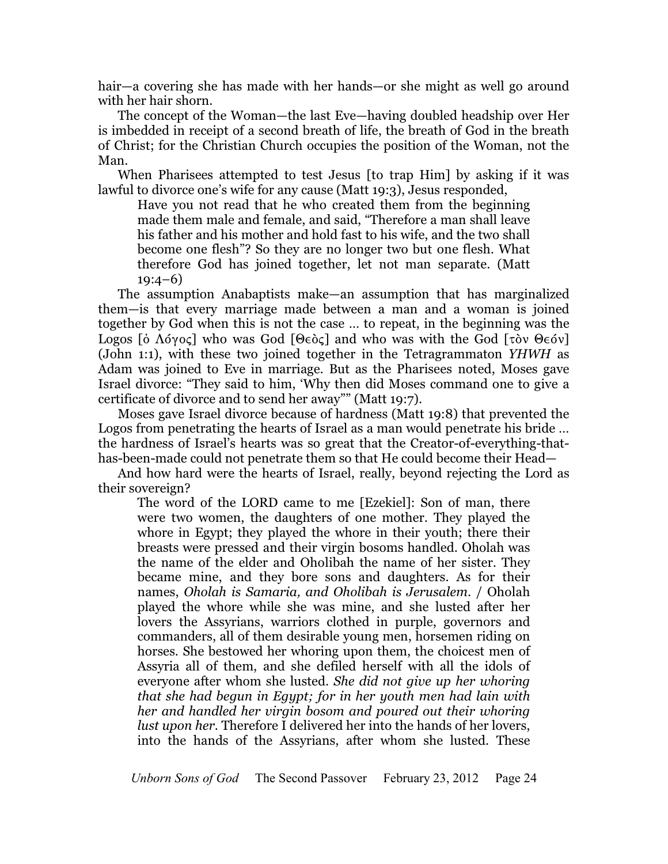hair—a covering she has made with her hands—or she might as well go around with her hair shorn.

The concept of the Woman—the last Eve—having doubled headship over Her is imbedded in receipt of a second breath of life, the breath of God in the breath of Christ; for the Christian Church occupies the position of the Woman, not the Man.

When Pharisees attempted to test Jesus [to trap Him] by asking if it was lawful to divorce one's wife for any cause (Matt 19:3), Jesus responded,

Have you not read that he who created them from the beginning made them male and female, and said, "Therefore a man shall leave his father and his mother and hold fast to his wife, and the two shall become one flesh"? So they are no longer two but one flesh. What therefore God has joined together, let not man separate. (Matt 19:4–6)

The assumption Anabaptists make—an assumption that has marginalized them—is that every marriage made between a man and a woman is joined together by God when this is not the case … to repeat, in the beginning was the Logos [o  $\Lambda$ óyoç] who was God [ $\Theta$  $\epsilon$ òç] and who was with the God [ $\tau$ òv  $\Theta$  $\epsilon$ óv] (John 1:1), with these two joined together in the Tetragrammaton *YHWH* as Adam was joined to Eve in marriage. But as the Pharisees noted, Moses gave Israel divorce: "They said to him, 'Why then did Moses command one to give a certificate of divorce and to send her away"" (Matt 19:7).

Moses gave Israel divorce because of hardness (Matt 19:8) that prevented the Logos from penetrating the hearts of Israel as a man would penetrate his bride … the hardness of Israel's hearts was so great that the Creator-of-everything-thathas-been-made could not penetrate them so that He could become their Head—

And how hard were the hearts of Israel, really, beyond rejecting the Lord as their sovereign?

The word of the LORD came to me [Ezekiel]: Son of man, there were two women, the daughters of one mother. They played the whore in Egypt; they played the whore in their youth; there their breasts were pressed and their virgin bosoms handled. Oholah was the name of the elder and Oholibah the name of her sister. They became mine, and they bore sons and daughters. As for their names, *Oholah is Samaria, and Oholibah is Jerusalem*. / Oholah played the whore while she was mine, and she lusted after her lovers the Assyrians, warriors clothed in purple, governors and commanders, all of them desirable young men, horsemen riding on horses. She bestowed her whoring upon them, the choicest men of Assyria all of them, and she defiled herself with all the idols of everyone after whom she lusted. *She did not give up her whoring that she had begun in Egypt; for in her youth men had lain with her and handled her virgin bosom and poured out their whoring lust upon her*. Therefore I delivered her into the hands of her lovers, into the hands of the Assyrians, after whom she lusted. These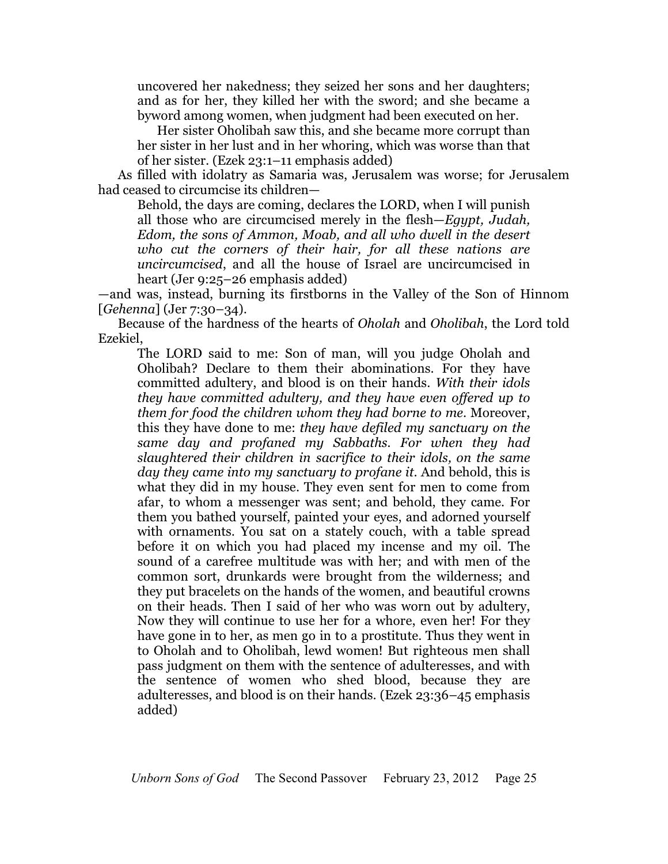uncovered her nakedness; they seized her sons and her daughters; and as for her, they killed her with the sword; and she became a byword among women, when judgment had been executed on her.

Her sister Oholibah saw this, and she became more corrupt than her sister in her lust and in her whoring, which was worse than that of her sister. (Ezek 23:1–11 emphasis added)

As filled with idolatry as Samaria was, Jerusalem was worse; for Jerusalem had ceased to circumcise its children—

Behold, the days are coming, declares the LORD, when I will punish all those who are circumcised merely in the flesh—*Egypt, Judah, Edom, the sons of Ammon, Moab, and all who dwell in the desert who cut the corners of their hair, for all these nations are uncircumcised*, and all the house of Israel are uncircumcised in heart (Jer 9:25–26 emphasis added)

—and was, instead, burning its firstborns in the Valley of the Son of Hinnom [*Gehenna*] (Jer 7:30–34).

Because of the hardness of the hearts of *Oholah* and *Oholibah*, the Lord told Ezekiel,

The LORD said to me: Son of man, will you judge Oholah and Oholibah? Declare to them their abominations. For they have committed adultery, and blood is on their hands. *With their idols they have committed adultery, and they have even offered up to them for food the children whom they had borne to me*. Moreover, this they have done to me: *they have defiled my sanctuary on the same day and profaned my Sabbaths. For when they had slaughtered their children in sacrifice to their idols, on the same day they came into my sanctuary to profane it*. And behold, this is what they did in my house. They even sent for men to come from afar, to whom a messenger was sent; and behold, they came. For them you bathed yourself, painted your eyes, and adorned yourself with ornaments. You sat on a stately couch, with a table spread before it on which you had placed my incense and my oil. The sound of a carefree multitude was with her; and with men of the common sort, drunkards were brought from the wilderness; and they put bracelets on the hands of the women, and beautiful crowns on their heads. Then I said of her who was worn out by adultery, Now they will continue to use her for a whore, even her! For they have gone in to her, as men go in to a prostitute. Thus they went in to Oholah and to Oholibah, lewd women! But righteous men shall pass judgment on them with the sentence of adulteresses, and with the sentence of women who shed blood, because they are adulteresses, and blood is on their hands. (Ezek 23:36–45 emphasis added)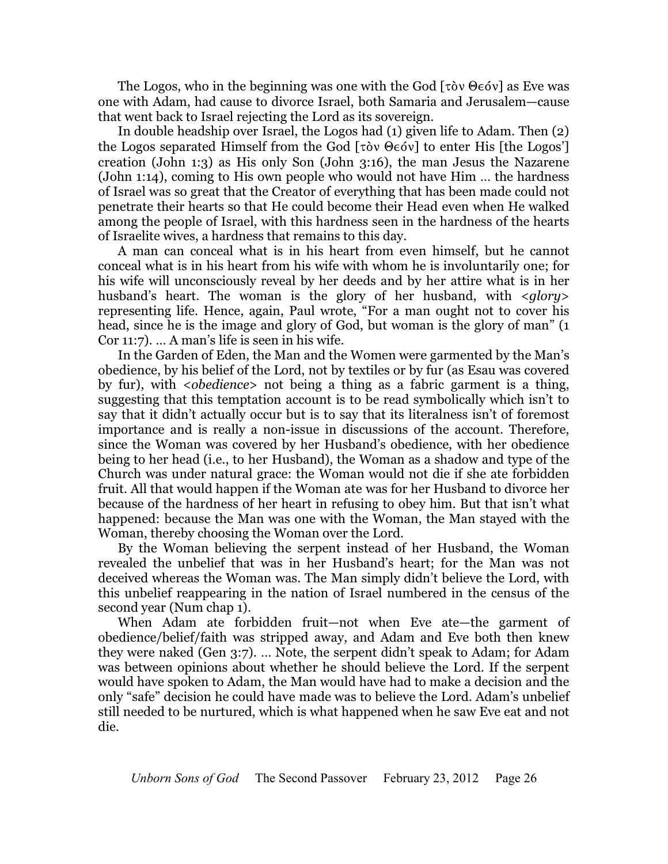The Logos, who in the beginning was one with the God [ $\tau$ òv  $\Theta \epsilon$ óv] as Eve was one with Adam, had cause to divorce Israel, both Samaria and Jerusalem—cause that went back to Israel rejecting the Lord as its sovereign.

In double headship over Israel, the Logos had (1) given life to Adam. Then (2) the Logos separated Himself from the God  $[\tau \delta v \Theta \epsilon \delta v]$  to enter His [the Logos'] creation (John 1:3) as His only Son (John 3:16), the man Jesus the Nazarene (John 1:14), coming to His own people who would not have Him … the hardness of Israel was so great that the Creator of everything that has been made could not penetrate their hearts so that He could become their Head even when He walked among the people of Israel, with this hardness seen in the hardness of the hearts of Israelite wives, a hardness that remains to this day.

A man can conceal what is in his heart from even himself, but he cannot conceal what is in his heart from his wife with whom he is involuntarily one; for his wife will unconsciously reveal by her deeds and by her attire what is in her husband's heart. The woman is the glory of her husband, with <*glory*> representing life. Hence, again, Paul wrote, "For a man ought not to cover his head, since he is the image and glory of God, but woman is the glory of man" (1) Cor 11:7). … A man's life is seen in his wife.

In the Garden of Eden, the Man and the Women were garmented by the Man's obedience, by his belief of the Lord, not by textiles or by fur (as Esau was covered by fur), with <*obedience*> not being a thing as a fabric garment is a thing, suggesting that this temptation account is to be read symbolically which isn't to say that it didn't actually occur but is to say that its literalness isn't of foremost importance and is really a non-issue in discussions of the account. Therefore, since the Woman was covered by her Husband's obedience, with her obedience being to her head (i.e., to her Husband), the Woman as a shadow and type of the Church was under natural grace: the Woman would not die if she ate forbidden fruit. All that would happen if the Woman ate was for her Husband to divorce her because of the hardness of her heart in refusing to obey him. But that isn't what happened: because the Man was one with the Woman, the Man stayed with the Woman, thereby choosing the Woman over the Lord.

By the Woman believing the serpent instead of her Husband, the Woman revealed the unbelief that was in her Husband's heart; for the Man was not deceived whereas the Woman was. The Man simply didn't believe the Lord, with this unbelief reappearing in the nation of Israel numbered in the census of the second year (Num chap 1).

When Adam ate forbidden fruit—not when Eve ate—the garment of obedience/belief/faith was stripped away, and Adam and Eve both then knew they were naked (Gen 3:7). … Note, the serpent didn't speak to Adam; for Adam was between opinions about whether he should believe the Lord. If the serpent would have spoken to Adam, the Man would have had to make a decision and the only "safe" decision he could have made was to believe the Lord. Adam's unbelief still needed to be nurtured, which is what happened when he saw Eve eat and not die.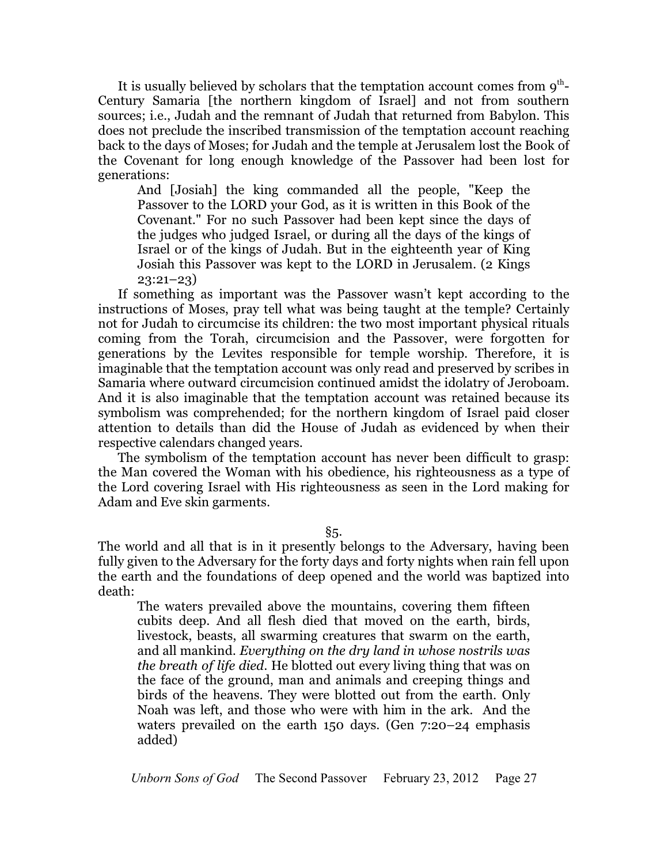It is usually believed by scholars that the temptation account comes from  $9^\text{th}$ -Century Samaria [the northern kingdom of Israel] and not from southern sources; i.e., Judah and the remnant of Judah that returned from Babylon. This does not preclude the inscribed transmission of the temptation account reaching back to the days of Moses; for Judah and the temple at Jerusalem lost the Book of the Covenant for long enough knowledge of the Passover had been lost for generations:

And [Josiah] the king commanded all the people, "Keep the Passover to the LORD your God, as it is written in this Book of the Covenant." For no such Passover had been kept since the days of the judges who judged Israel, or during all the days of the kings of Israel or of the kings of Judah. But in the eighteenth year of King Josiah this Passover was kept to the LORD in Jerusalem. (2 Kings 23:21–23)

If something as important was the Passover wasn't kept according to the instructions of Moses, pray tell what was being taught at the temple? Certainly not for Judah to circumcise its children: the two most important physical rituals coming from the Torah, circumcision and the Passover, were forgotten for generations by the Levites responsible for temple worship. Therefore, it is imaginable that the temptation account was only read and preserved by scribes in Samaria where outward circumcision continued amidst the idolatry of Jeroboam. And it is also imaginable that the temptation account was retained because its symbolism was comprehended; for the northern kingdom of Israel paid closer attention to details than did the House of Judah as evidenced by when their respective calendars changed years.

The symbolism of the temptation account has never been difficult to grasp: the Man covered the Woman with his obedience, his righteousness as a type of the Lord covering Israel with His righteousness as seen in the Lord making for Adam and Eve skin garments.

## §5.

The world and all that is in it presently belongs to the Adversary, having been fully given to the Adversary for the forty days and forty nights when rain fell upon the earth and the foundations of deep opened and the world was baptized into death:

The waters prevailed above the mountains, covering them fifteen cubits deep. And all flesh died that moved on the earth, birds, livestock, beasts, all swarming creatures that swarm on the earth, and all mankind. *Everything on the dry land in whose nostrils was the breath of life died*. He blotted out every living thing that was on the face of the ground, man and animals and creeping things and birds of the heavens. They were blotted out from the earth. Only Noah was left, and those who were with him in the ark. And the waters prevailed on the earth 150 days. (Gen 7:20–24 emphasis added)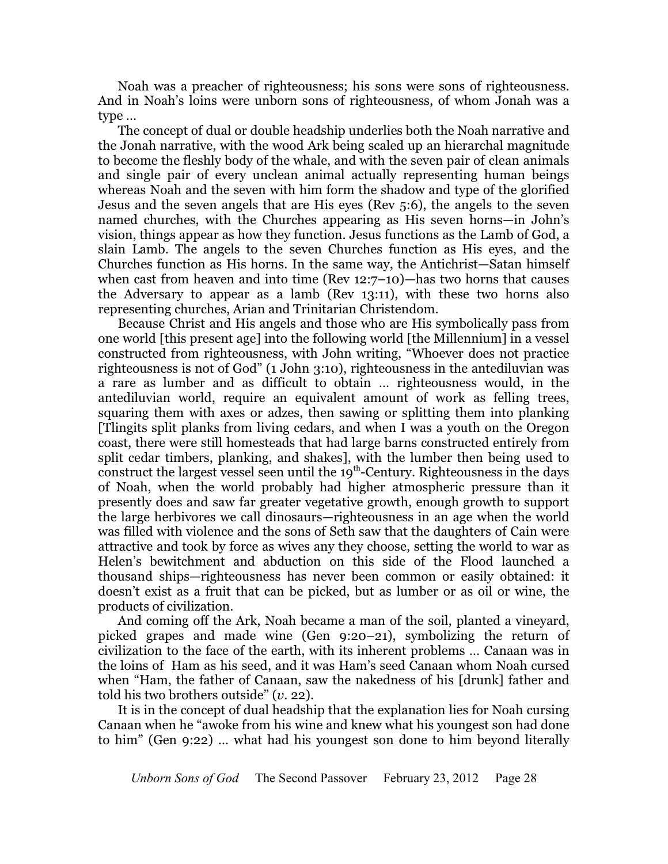Noah was a preacher of righteousness; his sons were sons of righteousness. And in Noah's loins were unborn sons of righteousness, of whom Jonah was a type …

The concept of dual or double headship underlies both the Noah narrative and the Jonah narrative, with the wood Ark being scaled up an hierarchal magnitude to become the fleshly body of the whale, and with the seven pair of clean animals and single pair of every unclean animal actually representing human beings whereas Noah and the seven with him form the shadow and type of the glorified Jesus and the seven angels that are His eyes (Rev 5:6), the angels to the seven named churches, with the Churches appearing as His seven horns—in John's vision, things appear as how they function. Jesus functions as the Lamb of God, a slain Lamb. The angels to the seven Churches function as His eyes, and the Churches function as His horns. In the same way, the Antichrist—Satan himself when cast from heaven and into time (Rev 12:7–10)—has two horns that causes the Adversary to appear as a lamb (Rev 13:11), with these two horns also representing churches, Arian and Trinitarian Christendom.

Because Christ and His angels and those who are His symbolically pass from one world [this present age] into the following world [the Millennium] in a vessel constructed from righteousness, with John writing, "Whoever does not practice righteousness is not of God" (1 John 3:10), righteousness in the antediluvian was a rare as lumber and as difficult to obtain … righteousness would, in the antediluvian world, require an equivalent amount of work as felling trees, squaring them with axes or adzes, then sawing or splitting them into planking [Tlingits split planks from living cedars, and when I was a youth on the Oregon coast, there were still homesteads that had large barns constructed entirely from split cedar timbers, planking, and shakes], with the lumber then being used to construct the largest vessel seen until the  $19<sup>th</sup>$ -Century. Righteousness in the days of Noah, when the world probably had higher atmospheric pressure than it presently does and saw far greater vegetative growth, enough growth to support the large herbivores we call dinosaurs—righteousness in an age when the world was filled with violence and the sons of Seth saw that the daughters of Cain were attractive and took by force as wives any they choose, setting the world to war as Helen's bewitchment and abduction on this side of the Flood launched a thousand ships—righteousness has never been common or easily obtained: it doesn't exist as a fruit that can be picked, but as lumber or as oil or wine, the products of civilization.

And coming off the Ark, Noah became a man of the soil, planted a vineyard, picked grapes and made wine (Gen 9:20–21), symbolizing the return of civilization to the face of the earth, with its inherent problems … Canaan was in the loins of Ham as his seed, and it was Ham's seed Canaan whom Noah cursed when "Ham, the father of Canaan, saw the nakedness of his [drunk] father and told his two brothers outside" (*v*. 22).

It is in the concept of dual headship that the explanation lies for Noah cursing Canaan when he "awoke from his wine and knew what his youngest son had done to him" (Gen 9:22) … what had his youngest son done to him beyond literally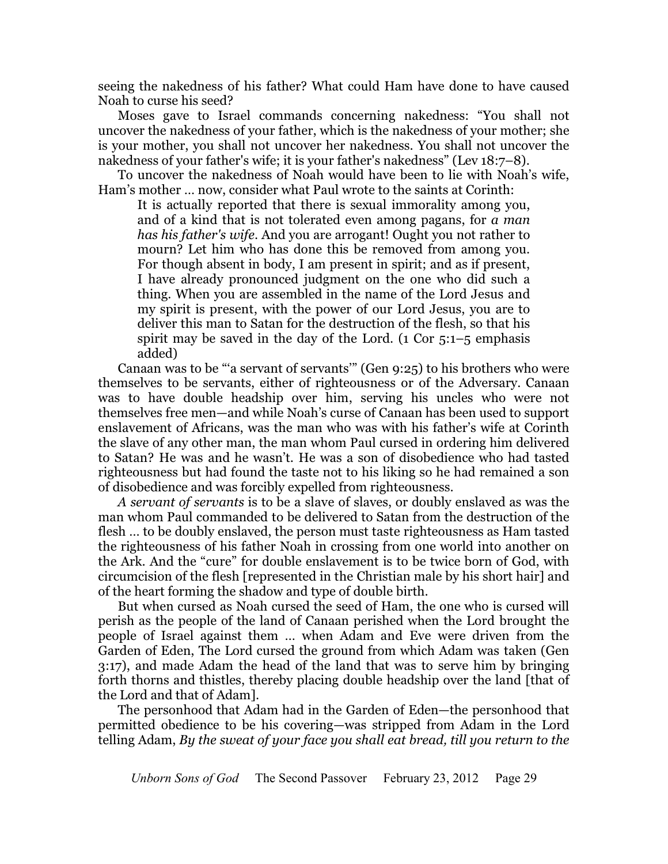seeing the nakedness of his father? What could Ham have done to have caused Noah to curse his seed?

Moses gave to Israel commands concerning nakedness: "You shall not uncover the nakedness of your father, which is the nakedness of your mother; she is your mother, you shall not uncover her nakedness. You shall not uncover the nakedness of your father's wife; it is your father's nakedness" (Lev 18:7–8).

To uncover the nakedness of Noah would have been to lie with Noah's wife, Ham's mother … now, consider what Paul wrote to the saints at Corinth:

It is actually reported that there is sexual immorality among you, and of a kind that is not tolerated even among pagans, for *a man has his father's wife*. And you are arrogant! Ought you not rather to mourn? Let him who has done this be removed from among you. For though absent in body, I am present in spirit; and as if present, I have already pronounced judgment on the one who did such a thing. When you are assembled in the name of the Lord Jesus and my spirit is present, with the power of our Lord Jesus, you are to deliver this man to Satan for the destruction of the flesh, so that his spirit may be saved in the day of the Lord. (1 Cor 5:1–5 emphasis added)

Canaan was to be "'a servant of servants'" (Gen 9:25) to his brothers who were themselves to be servants, either of righteousness or of the Adversary. Canaan was to have double headship over him, serving his uncles who were not themselves free men—and while Noah's curse of Canaan has been used to support enslavement of Africans, was the man who was with his father's wife at Corinth the slave of any other man, the man whom Paul cursed in ordering him delivered to Satan? He was and he wasn't. He was a son of disobedience who had tasted righteousness but had found the taste not to his liking so he had remained a son of disobedience and was forcibly expelled from righteousness.

*A servant of servants* is to be a slave of slaves, or doubly enslaved as was the man whom Paul commanded to be delivered to Satan from the destruction of the flesh … to be doubly enslaved, the person must taste righteousness as Ham tasted the righteousness of his father Noah in crossing from one world into another on the Ark. And the "cure" for double enslavement is to be twice born of God, with circumcision of the flesh [represented in the Christian male by his short hair] and of the heart forming the shadow and type of double birth.

But when cursed as Noah cursed the seed of Ham, the one who is cursed will perish as the people of the land of Canaan perished when the Lord brought the people of Israel against them … when Adam and Eve were driven from the Garden of Eden, The Lord cursed the ground from which Adam was taken (Gen 3:17), and made Adam the head of the land that was to serve him by bringing forth thorns and thistles, thereby placing double headship over the land [that of the Lord and that of Adam].

The personhood that Adam had in the Garden of Eden—the personhood that permitted obedience to be his covering—was stripped from Adam in the Lord telling Adam, *By the sweat of your face you shall eat bread, till you return to the*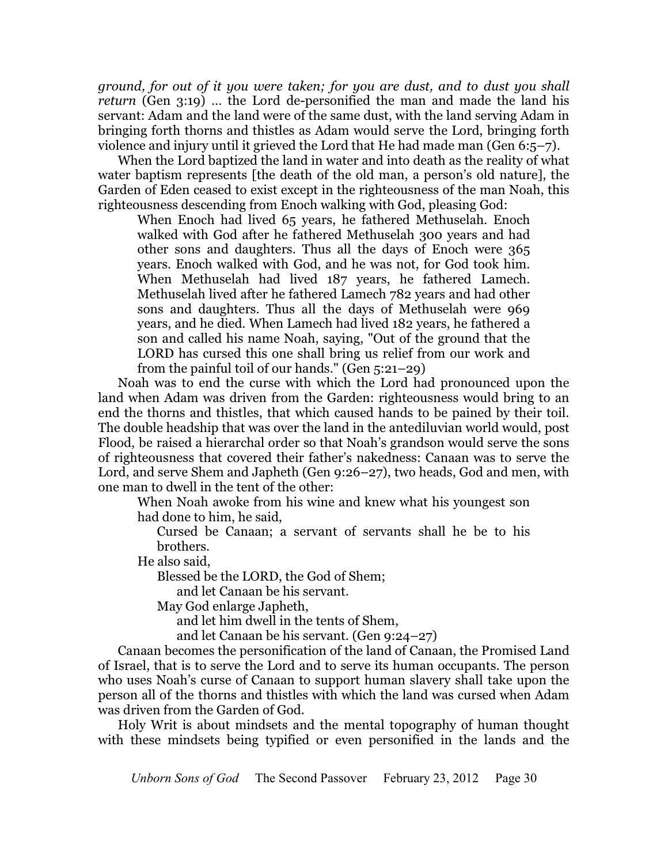*ground, for out of it you were taken; for you are dust, and to dust you shall return* (Gen 3:19) … the Lord de-personified the man and made the land his servant: Adam and the land were of the same dust, with the land serving Adam in bringing forth thorns and thistles as Adam would serve the Lord, bringing forth violence and injury until it grieved the Lord that He had made man (Gen 6:5–7).

When the Lord baptized the land in water and into death as the reality of what water baptism represents [the death of the old man, a person's old nature], the Garden of Eden ceased to exist except in the righteousness of the man Noah, this righteousness descending from Enoch walking with God, pleasing God:

When Enoch had lived 65 years, he fathered Methuselah. Enoch walked with God after he fathered Methuselah 300 years and had other sons and daughters. Thus all the days of Enoch were 365 years. Enoch walked with God, and he was not, for God took him. When Methuselah had lived 187 years, he fathered Lamech. Methuselah lived after he fathered Lamech 782 years and had other sons and daughters. Thus all the days of Methuselah were 969 years, and he died. When Lamech had lived 182 years, he fathered a son and called his name Noah, saying, "Out of the ground that the LORD has cursed this one shall bring us relief from our work and from the painful toil of our hands." (Gen 5:21–29)

Noah was to end the curse with which the Lord had pronounced upon the land when Adam was driven from the Garden: righteousness would bring to an end the thorns and thistles, that which caused hands to be pained by their toil. The double headship that was over the land in the antediluvian world would, post Flood, be raised a hierarchal order so that Noah's grandson would serve the sons of righteousness that covered their father's nakedness: Canaan was to serve the Lord, and serve Shem and Japheth (Gen 9:26–27), two heads, God and men, with one man to dwell in the tent of the other:

When Noah awoke from his wine and knew what his youngest son had done to him, he said,

Cursed be Canaan; a servant of servants shall he be to his brothers.

He also said,

Blessed be the LORD, the God of Shem;

and let Canaan be his servant.

May God enlarge Japheth,

and let him dwell in the tents of Shem,

and let Canaan be his servant. (Gen 9:24–27)

Canaan becomes the personification of the land of Canaan, the Promised Land of Israel, that is to serve the Lord and to serve its human occupants. The person who uses Noah's curse of Canaan to support human slavery shall take upon the person all of the thorns and thistles with which the land was cursed when Adam was driven from the Garden of God.

Holy Writ is about mindsets and the mental topography of human thought with these mindsets being typified or even personified in the lands and the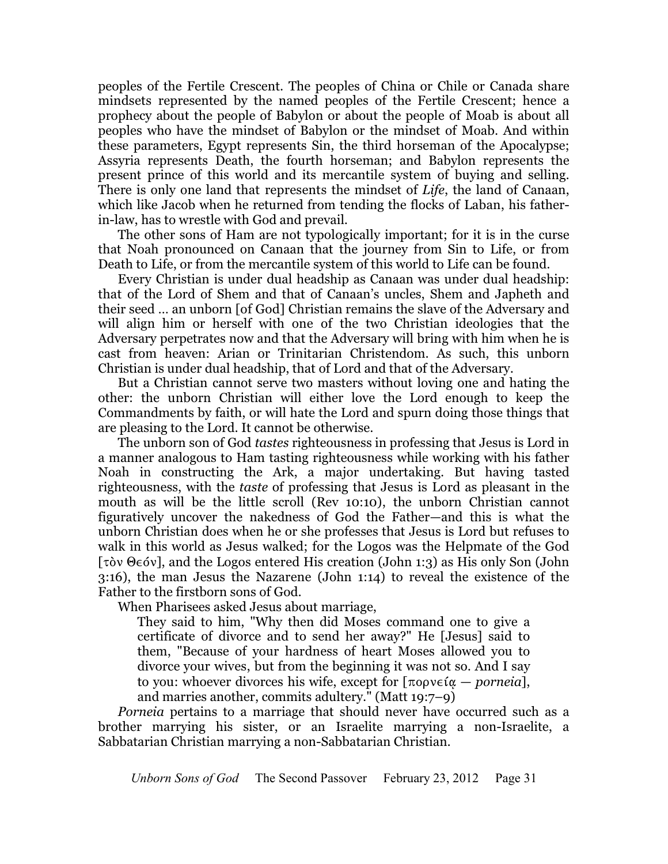peoples of the Fertile Crescent. The peoples of China or Chile or Canada share mindsets represented by the named peoples of the Fertile Crescent; hence a prophecy about the people of Babylon or about the people of Moab is about all peoples who have the mindset of Babylon or the mindset of Moab. And within these parameters, Egypt represents Sin, the third horseman of the Apocalypse; Assyria represents Death, the fourth horseman; and Babylon represents the present prince of this world and its mercantile system of buying and selling. There is only one land that represents the mindset of *Life*, the land of Canaan, which like Jacob when he returned from tending the flocks of Laban, his fatherin-law, has to wrestle with God and prevail.

The other sons of Ham are not typologically important; for it is in the curse that Noah pronounced on Canaan that the journey from Sin to Life, or from Death to Life, or from the mercantile system of this world to Life can be found.

Every Christian is under dual headship as Canaan was under dual headship: that of the Lord of Shem and that of Canaan's uncles, Shem and Japheth and their seed … an unborn [of God] Christian remains the slave of the Adversary and will align him or herself with one of the two Christian ideologies that the Adversary perpetrates now and that the Adversary will bring with him when he is cast from heaven: Arian or Trinitarian Christendom. As such, this unborn Christian is under dual headship, that of Lord and that of the Adversary.

But a Christian cannot serve two masters without loving one and hating the other: the unborn Christian will either love the Lord enough to keep the Commandments by faith, or will hate the Lord and spurn doing those things that are pleasing to the Lord. It cannot be otherwise.

The unborn son of God *tastes* righteousness in professing that Jesus is Lord in a manner analogous to Ham tasting righteousness while working with his father Noah in constructing the Ark, a major undertaking. But having tasted righteousness, with the *taste* of professing that Jesus is Lord as pleasant in the mouth as will be the little scroll (Rev 10:10), the unborn Christian cannot figuratively uncover the nakedness of God the Father—and this is what the unborn Christian does when he or she professes that Jesus is Lord but refuses to walk in this world as Jesus walked; for the Logos was the Helpmate of the God [ $\tau$ òv  $\Theta$  $\epsilon$ óv], and the Logos entered His creation (John 1:3) as His only Son (John 3:16), the man Jesus the Nazarene (John 1:14) to reveal the existence of the Father to the firstborn sons of God.

When Pharisees asked Jesus about marriage,

They said to him, "Why then did Moses command one to give a certificate of divorce and to send her away?" He [Jesus] said to them, "Because of your hardness of heart Moses allowed you to divorce your wives, but from the beginning it was not so. And I say to you: whoever divorces his wife, except for  $\lceil \pi$ opve $\alpha$  – *porneia*], and marries another, commits adultery." (Matt 19:7–9)

*Porneia* pertains to a marriage that should never have occurred such as a brother marrying his sister, or an Israelite marrying a non-Israelite, a Sabbatarian Christian marrying a non-Sabbatarian Christian.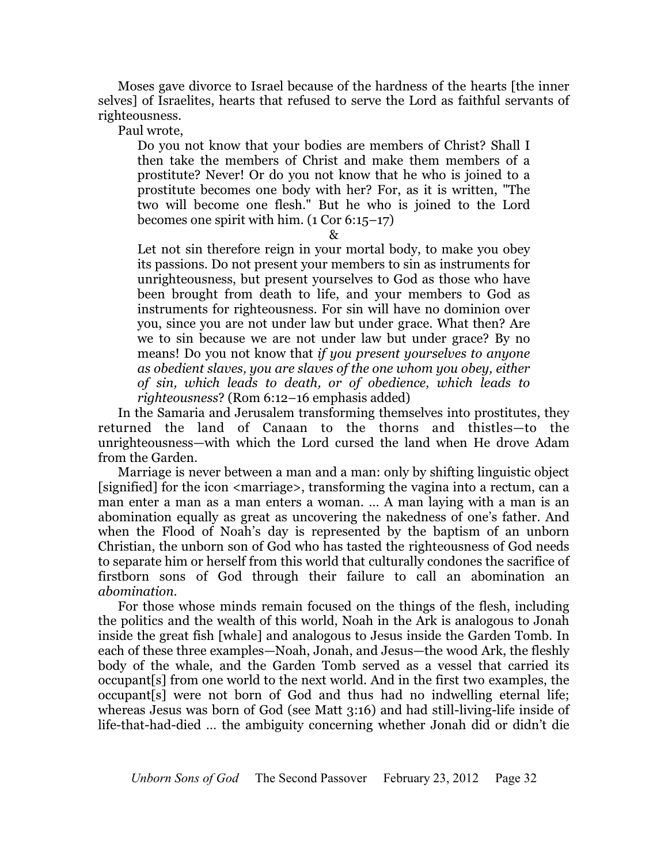Moses gave divorce to Israel because of the hardness of the hearts [the inner selves] of Israelites, hearts that refused to serve the Lord as faithful servants of righteousness.

Paul wrote,

Do you not know that your bodies are members of Christ? Shall I then take the members of Christ and make them members of a prostitute? Never! Or do you not know that he who is joined to a prostitute becomes one body with her? For, as it is written, "The two will become one flesh." But he who is joined to the Lord becomes one spirit with him. (1 Cor 6:15–17)

 $R_{\tau}$ 

Let not sin therefore reign in your mortal body, to make you obey its passions. Do not present your members to sin as instruments for unrighteousness, but present yourselves to God as those who have been brought from death to life, and your members to God as instruments for righteousness. For sin will have no dominion over you, since you are not under law but under grace. What then? Are we to sin because we are not under law but under grace? By no means! Do you not know that *if you present yourselves to anyone as obedient slaves, you are slaves of the one whom you obey, either of sin, which leads to death, or of obedience, which leads to righteousness*? (Rom 6:12–16 emphasis added)

In the Samaria and Jerusalem transforming themselves into prostitutes, they returned the land of Canaan to the thorns and thistles—to the unrighteousness—with which the Lord cursed the land when He drove Adam from the Garden.

Marriage is never between a man and a man: only by shifting linguistic object [signified] for the icon <marriage>, transforming the vagina into a rectum, can a man enter a man as a man enters a woman. … A man laying with a man is an abomination equally as great as uncovering the nakedness of one's father. And when the Flood of Noah's day is represented by the baptism of an unborn Christian, the unborn son of God who has tasted the righteousness of God needs to separate him or herself from this world that culturally condones the sacrifice of firstborn sons of God through their failure to call an abomination an *abomination.*

For those whose minds remain focused on the things of the flesh, including the politics and the wealth of this world, Noah in the Ark is analogous to Jonah inside the great fish [whale] and analogous to Jesus inside the Garden Tomb. In each of these three examples—Noah, Jonah, and Jesus—the wood Ark, the fleshly body of the whale, and the Garden Tomb served as a vessel that carried its occupant[s] from one world to the next world. And in the first two examples, the occupant[s] were not born of God and thus had no indwelling eternal life; whereas Jesus was born of God (see Matt 3:16) and had still-living-life inside of life-that-had-died … the ambiguity concerning whether Jonah did or didn't die